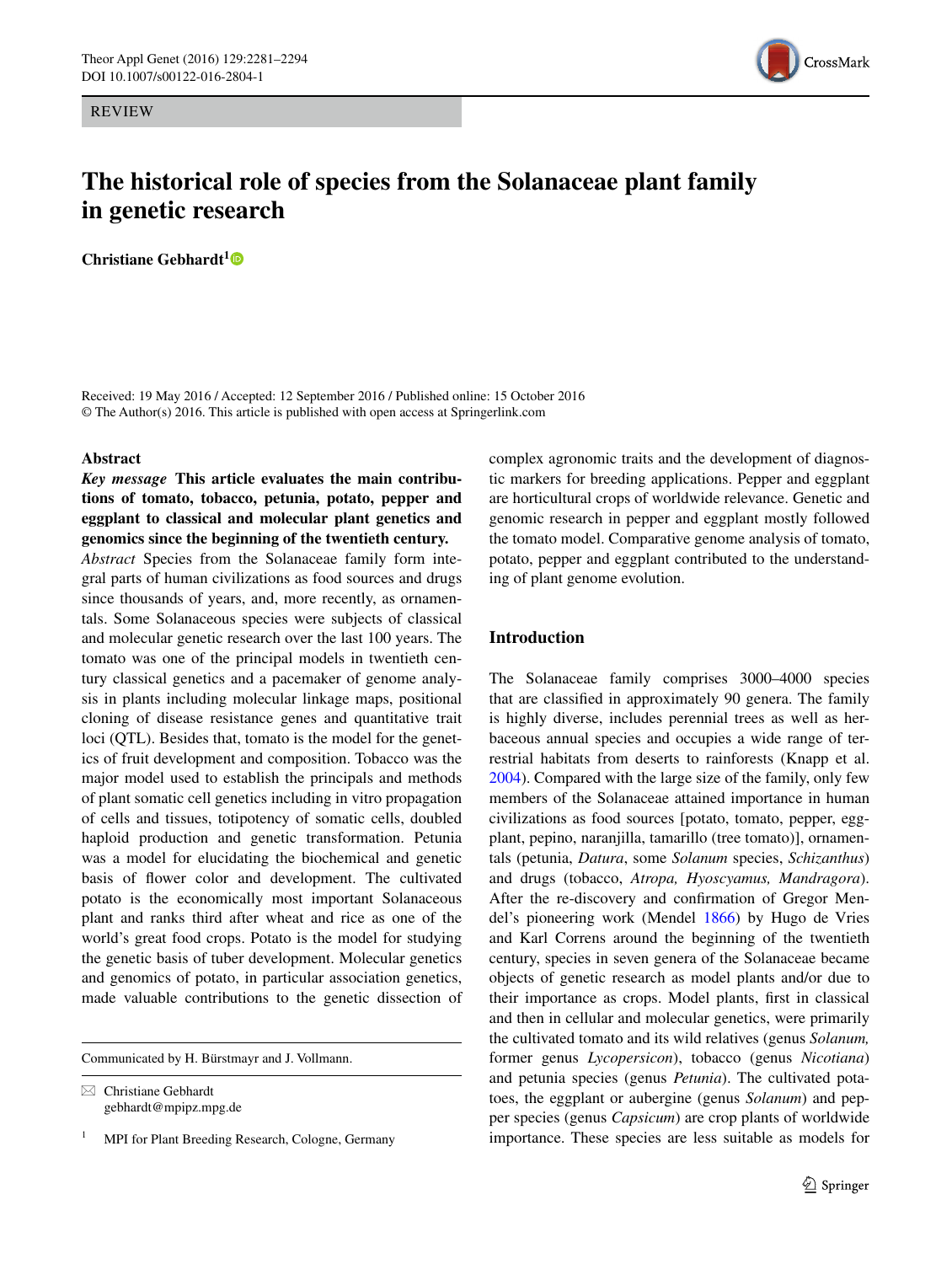#### REVIEW



# **The historical role of species from the Solanaceae plant family in genetic research**

**Christiane Gebhardt[1](http://orcid.org/0000-0001-9640-463X)**

Received: 19 May 2016 / Accepted: 12 September 2016 / Published online: 15 October 2016 © The Author(s) 2016. This article is published with open access at Springerlink.com

#### **Abstract**

*Key message* **This article evaluates the main contributions of tomato, tobacco, petunia, potato, pepper and eggplant to classical and molecular plant genetics and genomics since the beginning of the twentieth century.**

*Abstract* Species from the Solanaceae family form integral parts of human civilizations as food sources and drugs since thousands of years, and, more recently, as ornamentals. Some Solanaceous species were subjects of classical and molecular genetic research over the last 100 years. The tomato was one of the principal models in twentieth century classical genetics and a pacemaker of genome analysis in plants including molecular linkage maps, positional cloning of disease resistance genes and quantitative trait loci (QTL). Besides that, tomato is the model for the genetics of fruit development and composition. Tobacco was the major model used to establish the principals and methods of plant somatic cell genetics including in vitro propagation of cells and tissues, totipotency of somatic cells, doubled haploid production and genetic transformation. Petunia was a model for elucidating the biochemical and genetic basis of flower color and development. The cultivated potato is the economically most important Solanaceous plant and ranks third after wheat and rice as one of the world's great food crops. Potato is the model for studying the genetic basis of tuber development. Molecular genetics and genomics of potato, in particular association genetics, made valuable contributions to the genetic dissection of

Communicated by H. Bürstmayr and J. Vollmann.

 $\boxtimes$  Christiane Gebhardt gebhardt@mpipz.mpg.de complex agronomic traits and the development of diagnostic markers for breeding applications. Pepper and eggplant are horticultural crops of worldwide relevance. Genetic and genomic research in pepper and eggplant mostly followed the tomato model. Comparative genome analysis of tomato, potato, pepper and eggplant contributed to the understanding of plant genome evolution.

# **Introduction**

The Solanaceae family comprises 3000–4000 species that are classified in approximately 90 genera. The family is highly diverse, includes perennial trees as well as herbaceous annual species and occupies a wide range of terrestrial habitats from deserts to rainforests (Knapp et al. [2004](#page-11-0)). Compared with the large size of the family, only few members of the Solanaceae attained importance in human civilizations as food sources [potato, tomato, pepper, eggplant, pepino, naranjilla, tamarillo (tree tomato)], ornamentals (petunia, *Datura*, some *Solanum* species, *Schizanthus*) and drugs (tobacco, *Atropa, Hyoscyamus, Mandragora*). After the re-discovery and confirmation of Gregor Mendel's pioneering work (Mendel [1866](#page-11-1)) by Hugo de Vries and Karl Correns around the beginning of the twentieth century, species in seven genera of the Solanaceae became objects of genetic research as model plants and/or due to their importance as crops. Model plants, first in classical and then in cellular and molecular genetics, were primarily the cultivated tomato and its wild relatives (genus *Solanum,* former genus *Lycopersicon*), tobacco (genus *Nicotiana*) and petunia species (genus *Petunia*). The cultivated potatoes, the eggplant or aubergine (genus *Solanum*) and pepper species (genus *Capsicum*) are crop plants of worldwide importance. These species are less suitable as models for

<sup>1</sup> MPI for Plant Breeding Research, Cologne, Germany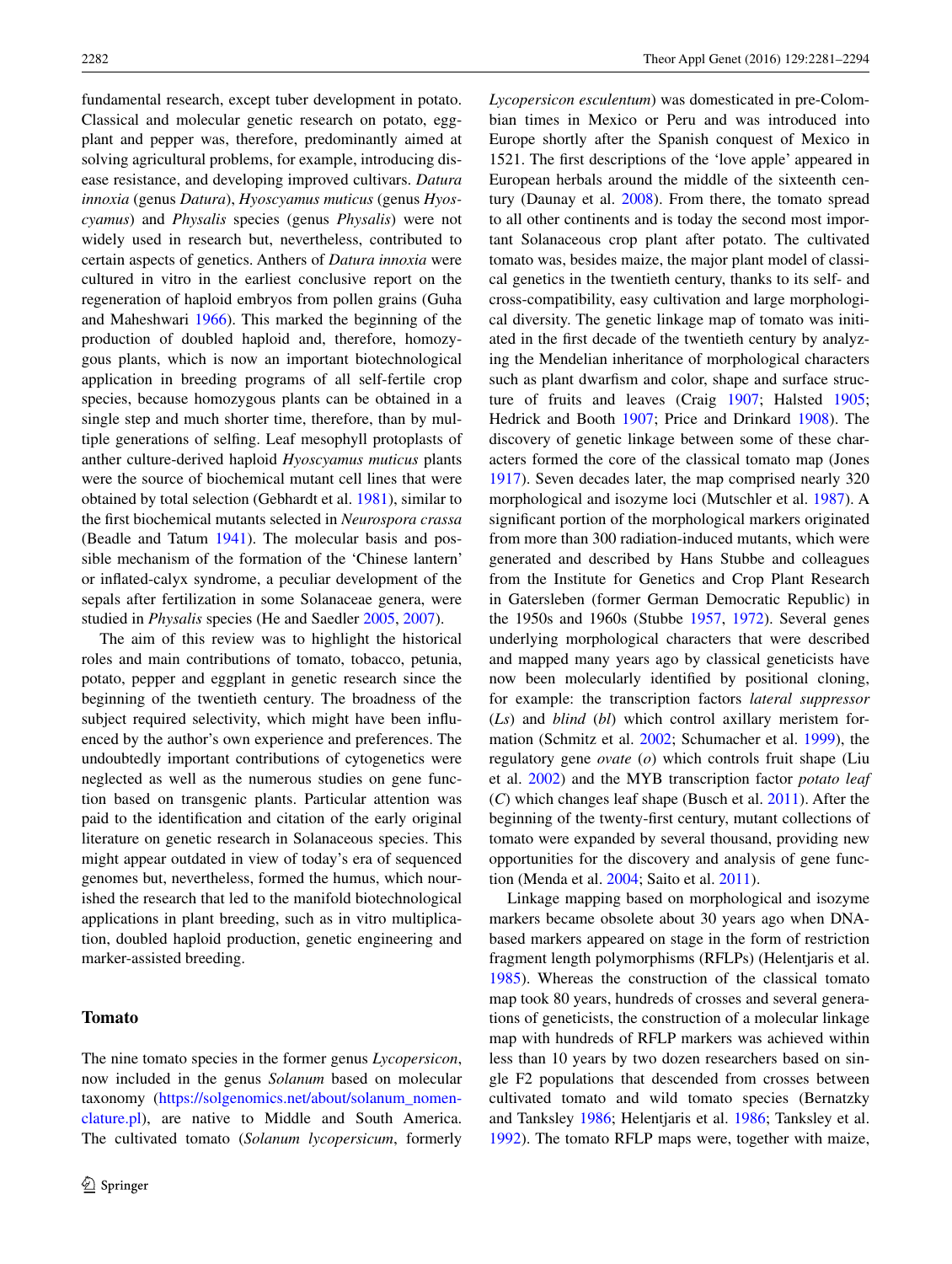fundamental research, except tuber development in potato. Classical and molecular genetic research on potato, eggplant and pepper was, therefore, predominantly aimed at solving agricultural problems, for example, introducing disease resistance, and developing improved cultivars. *Datura innoxia* (genus *Datura*), *Hyoscyamus muticus* (genus *Hyoscyamus*) and *Physalis* species (genus *Physalis*) were not widely used in research but, nevertheless, contributed to certain aspects of genetics. Anthers of *Datura innoxia* were cultured in vitro in the earliest conclusive report on the regeneration of haploid embryos from pollen grains (Guha and Maheshwari [1966\)](#page-10-0). This marked the beginning of the production of doubled haploid and, therefore, homozygous plants, which is now an important biotechnological application in breeding programs of all self-fertile crop species, because homozygous plants can be obtained in a single step and much shorter time, therefore, than by multiple generations of selfing. Leaf mesophyll protoplasts of anther culture-derived haploid *Hyoscyamus muticus* plants were the source of biochemical mutant cell lines that were obtained by total selection (Gebhardt et al. [1981\)](#page-10-1), similar to the first biochemical mutants selected in *Neurospora crassa* (Beadle and Tatum [1941\)](#page-9-0). The molecular basis and possible mechanism of the formation of the 'Chinese lantern' or inflated-calyx syndrome, a peculiar development of the sepals after fertilization in some Solanaceae genera, were studied in *Physalis* species (He and Saedler [2005](#page-10-2), [2007](#page-10-3)).

The aim of this review was to highlight the historical roles and main contributions of tomato, tobacco, petunia, potato, pepper and eggplant in genetic research since the beginning of the twentieth century. The broadness of the subject required selectivity, which might have been influenced by the author's own experience and preferences. The undoubtedly important contributions of cytogenetics were neglected as well as the numerous studies on gene function based on transgenic plants. Particular attention was paid to the identification and citation of the early original literature on genetic research in Solanaceous species. This might appear outdated in view of today's era of sequenced genomes but, nevertheless, formed the humus, which nourished the research that led to the manifold biotechnological applications in plant breeding, such as in vitro multiplication, doubled haploid production, genetic engineering and marker-assisted breeding.

## **Tomato**

The nine tomato species in the former genus *Lycopersicon*, now included in the genus *Solanum* based on molecular taxonomy [\(https://solgenomics.net/about/solanum\\_nomen](https://solgenomics.net/about/solanum_nomenclature.pl)[clature.pl\)](https://solgenomics.net/about/solanum_nomenclature.pl), are native to Middle and South America. The cultivated tomato (*Solanum lycopersicum*, formerly *Lycopersicon esculentum*) was domesticated in pre-Colombian times in Mexico or Peru and was introduced into Europe shortly after the Spanish conquest of Mexico in 1521. The first descriptions of the 'love apple' appeared in European herbals around the middle of the sixteenth century (Daunay et al. [2008\)](#page-9-1). From there, the tomato spread to all other continents and is today the second most important Solanaceous crop plant after potato. The cultivated tomato was, besides maize, the major plant model of classical genetics in the twentieth century, thanks to its self- and cross-compatibility, easy cultivation and large morphological diversity. The genetic linkage map of tomato was initiated in the first decade of the twentieth century by analyzing the Mendelian inheritance of morphological characters such as plant dwarfism and color, shape and surface structure of fruits and leaves (Craig [1907](#page-9-2); Halsted [1905](#page-10-4); Hedrick and Booth [1907](#page-10-5); Price and Drinkard [1908](#page-12-0)). The discovery of genetic linkage between some of these characters formed the core of the classical tomato map (Jones [1917](#page-11-2)). Seven decades later, the map comprised nearly 320 morphological and isozyme loci (Mutschler et al. [1987\)](#page-11-3). A significant portion of the morphological markers originated from more than 300 radiation-induced mutants, which were generated and described by Hans Stubbe and colleagues from the Institute for Genetics and Crop Plant Research in Gatersleben (former German Democratic Republic) in the 1950s and 1960s (Stubbe [1957,](#page-13-0) [1972](#page-13-1)). Several genes underlying morphological characters that were described and mapped many years ago by classical geneticists have now been molecularly identified by positional cloning, for example: the transcription factors *lateral suppressor* (*Ls*) and *blind* (*bl*) which control axillary meristem formation (Schmitz et al. [2002](#page-13-2); Schumacher et al. [1999\)](#page-13-3), the regulatory gene *ovate* (*o*) which controls fruit shape (Liu et al. [2002\)](#page-11-4) and the MYB transcription factor *potato leaf* (*C*) which changes leaf shape (Busch et al. [2011](#page-9-3)). After the beginning of the twenty-first century, mutant collections of tomato were expanded by several thousand, providing new opportunities for the discovery and analysis of gene function (Menda et al. [2004;](#page-11-5) Saito et al. [2011](#page-12-1)).

Linkage mapping based on morphological and isozyme markers became obsolete about 30 years ago when DNAbased markers appeared on stage in the form of restriction fragment length polymorphisms (RFLPs) (Helentjaris et al. [1985](#page-10-6)). Whereas the construction of the classical tomato map took 80 years, hundreds of crosses and several generations of geneticists, the construction of a molecular linkage map with hundreds of RFLP markers was achieved within less than 10 years by two dozen researchers based on single F2 populations that descended from crosses between cultivated tomato and wild tomato species (Bernatzky and Tanksley [1986;](#page-9-4) Helentjaris et al. [1986](#page-10-7); Tanksley et al. [1992](#page-13-4)). The tomato RFLP maps were, together with maize,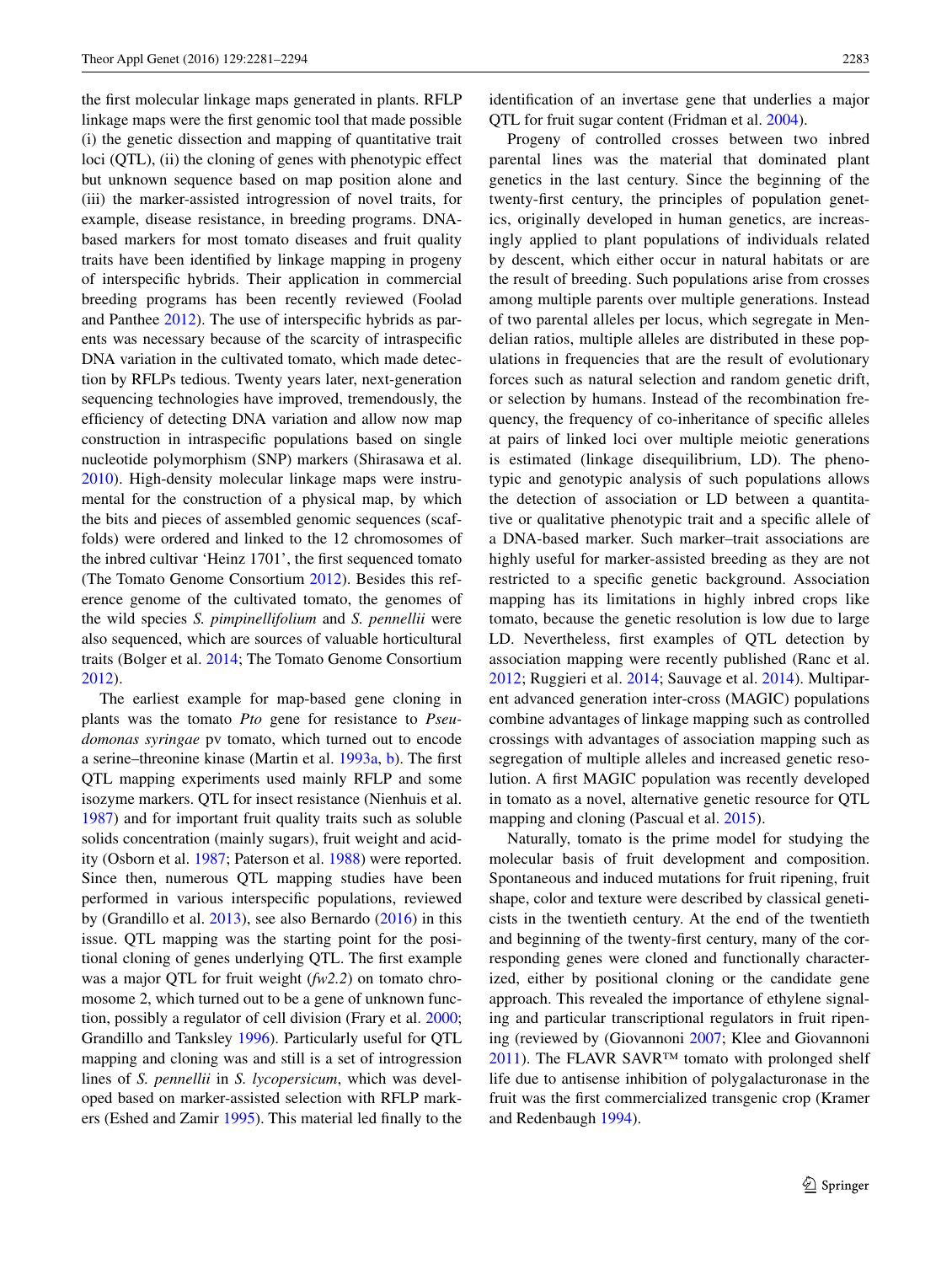the first molecular linkage maps generated in plants. RFLP linkage maps were the first genomic tool that made possible (i) the genetic dissection and mapping of quantitative trait loci (QTL), (ii) the cloning of genes with phenotypic effect but unknown sequence based on map position alone and (iii) the marker-assisted introgression of novel traits, for example, disease resistance, in breeding programs. DNAbased markers for most tomato diseases and fruit quality traits have been identified by linkage mapping in progeny of interspecific hybrids. Their application in commercial breeding programs has been recently reviewed (Foolad and Panthee [2012\)](#page-10-8). The use of interspecific hybrids as parents was necessary because of the scarcity of intraspecific DNA variation in the cultivated tomato, which made detection by RFLPs tedious. Twenty years later, next-generation sequencing technologies have improved, tremendously, the efficiency of detecting DNA variation and allow now map construction in intraspecific populations based on single nucleotide polymorphism (SNP) markers (Shirasawa et al. [2010](#page-13-5)). High-density molecular linkage maps were instrumental for the construction of a physical map, by which the bits and pieces of assembled genomic sequences (scaffolds) were ordered and linked to the 12 chromosomes of the inbred cultivar 'Heinz 1701', the first sequenced tomato (The Tomato Genome Consortium [2012\)](#page-13-6). Besides this reference genome of the cultivated tomato, the genomes of the wild species *S. pimpinellifolium* and *S. pennellii* were also sequenced, which are sources of valuable horticultural traits (Bolger et al. [2014](#page-9-5); The Tomato Genome Consortium [2012](#page-13-6)).

The earliest example for map-based gene cloning in plants was the tomato *Pto* gene for resistance to *Pseudomonas syringae* pv tomato, which turned out to encode a serine–threonine kinase (Martin et al. [1993a](#page-11-6), [b\)](#page-11-7). The first QTL mapping experiments used mainly RFLP and some isozyme markers. QTL for insect resistance (Nienhuis et al. [1987](#page-12-2)) and for important fruit quality traits such as soluble solids concentration (mainly sugars), fruit weight and acidity (Osborn et al. [1987](#page-12-3); Paterson et al. [1988\)](#page-12-4) were reported. Since then, numerous QTL mapping studies have been performed in various interspecific populations, reviewed by (Grandillo et al. [2013](#page-10-9)), see also Bernardo ([2016\)](#page-9-6) in this issue. QTL mapping was the starting point for the positional cloning of genes underlying QTL. The first example was a major QTL for fruit weight (*fw2.2*) on tomato chromosome 2, which turned out to be a gene of unknown function, possibly a regulator of cell division (Frary et al. [2000](#page-10-10); Grandillo and Tanksley [1996\)](#page-10-11). Particularly useful for QTL mapping and cloning was and still is a set of introgression lines of *S. pennellii* in *S. lycopersicum*, which was developed based on marker-assisted selection with RFLP markers (Eshed and Zamir [1995\)](#page-9-7). This material led finally to the identification of an invertase gene that underlies a major QTL for fruit sugar content (Fridman et al. [2004\)](#page-10-12).

Progeny of controlled crosses between two inbred parental lines was the material that dominated plant genetics in the last century. Since the beginning of the twenty-first century, the principles of population genetics, originally developed in human genetics, are increasingly applied to plant populations of individuals related by descent, which either occur in natural habitats or are the result of breeding. Such populations arise from crosses among multiple parents over multiple generations. Instead of two parental alleles per locus, which segregate in Mendelian ratios, multiple alleles are distributed in these populations in frequencies that are the result of evolutionary forces such as natural selection and random genetic drift, or selection by humans. Instead of the recombination frequency, the frequency of co-inheritance of specific alleles at pairs of linked loci over multiple meiotic generations is estimated (linkage disequilibrium, LD). The phenotypic and genotypic analysis of such populations allows the detection of association or LD between a quantitative or qualitative phenotypic trait and a specific allele of a DNA-based marker. Such marker–trait associations are highly useful for marker-assisted breeding as they are not restricted to a specific genetic background. Association mapping has its limitations in highly inbred crops like tomato, because the genetic resolution is low due to large LD. Nevertheless, first examples of QTL detection by association mapping were recently published (Ranc et al. [2012](#page-12-5); Ruggieri et al. [2014](#page-12-6); Sauvage et al. [2014](#page-12-7)). Multiparent advanced generation inter-cross (MAGIC) populations combine advantages of linkage mapping such as controlled crossings with advantages of association mapping such as segregation of multiple alleles and increased genetic resolution. A first MAGIC population was recently developed in tomato as a novel, alternative genetic resource for QTL mapping and cloning (Pascual et al. [2015](#page-12-8)).

Naturally, tomato is the prime model for studying the molecular basis of fruit development and composition. Spontaneous and induced mutations for fruit ripening, fruit shape, color and texture were described by classical geneticists in the twentieth century. At the end of the twentieth and beginning of the twenty-first century, many of the corresponding genes were cloned and functionally characterized, either by positional cloning or the candidate gene approach. This revealed the importance of ethylene signaling and particular transcriptional regulators in fruit ripening (reviewed by (Giovannoni [2007;](#page-10-13) Klee and Giovannoni [2011](#page-11-8)). The FLAVR SAVR<sup>™</sup> tomato with prolonged shelf life due to antisense inhibition of polygalacturonase in the fruit was the first commercialized transgenic crop (Kramer and Redenbaugh [1994\)](#page-11-9).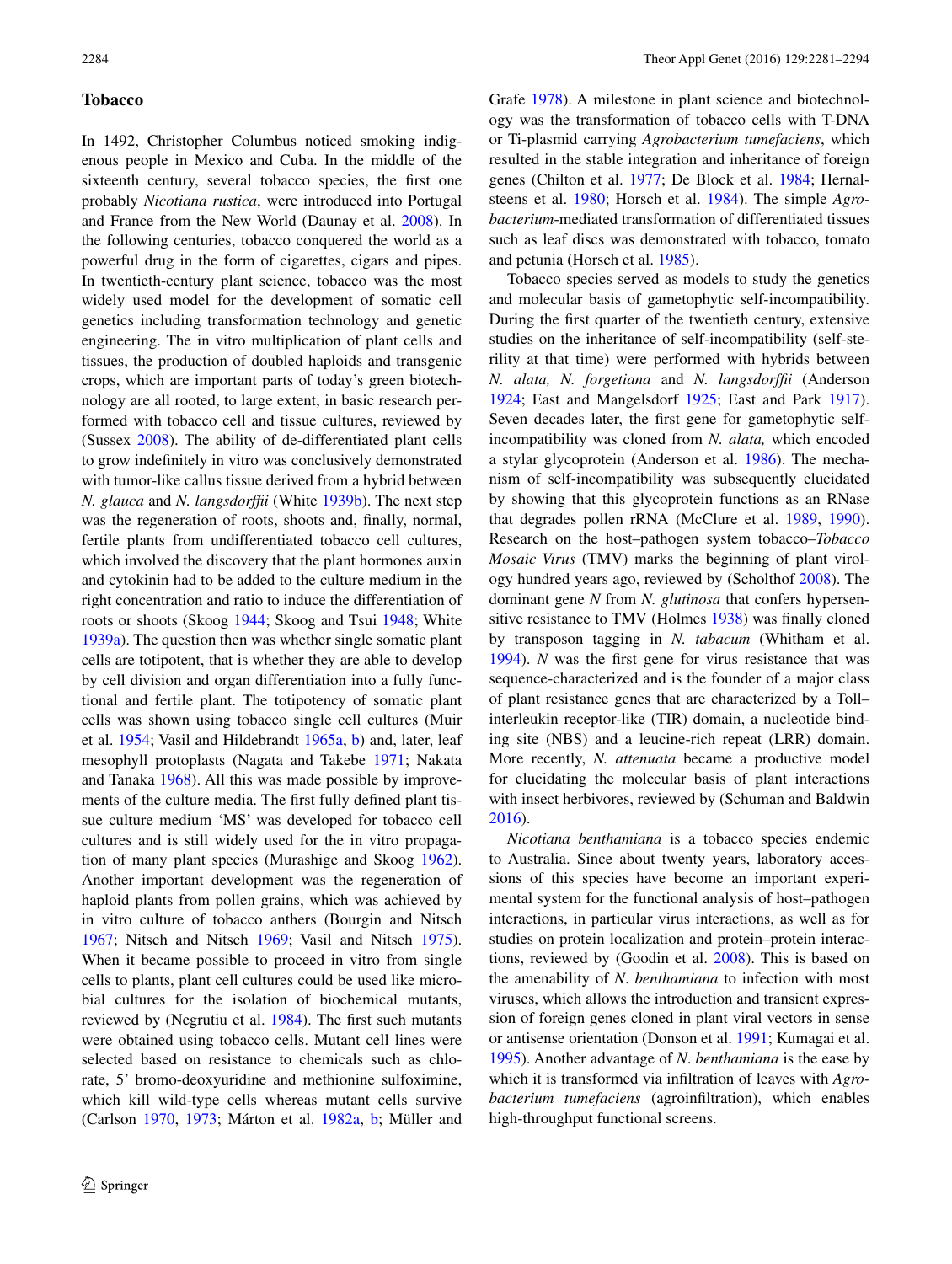### **Tobacco**

In 1492, Christopher Columbus noticed smoking indigenous people in Mexico and Cuba. In the middle of the sixteenth century, several tobacco species, the first one probably *Nicotiana rustica*, were introduced into Portugal and France from the New World (Daunay et al. [2008](#page-9-1)). In the following centuries, tobacco conquered the world as a powerful drug in the form of cigarettes, cigars and pipes. In twentieth-century plant science, tobacco was the most widely used model for the development of somatic cell genetics including transformation technology and genetic engineering. The in vitro multiplication of plant cells and tissues, the production of doubled haploids and transgenic crops, which are important parts of today's green biotechnology are all rooted, to large extent, in basic research performed with tobacco cell and tissue cultures, reviewed by (Sussex [2008\)](#page-13-7). The ability of de-differentiated plant cells to grow indefinitely in vitro was conclusively demonstrated with tumor-like callus tissue derived from a hybrid between *N. glauca* and *N. langsdorffii* (White [1939b](#page-13-8)). The next step was the regeneration of roots, shoots and, finally, normal, fertile plants from undifferentiated tobacco cell cultures, which involved the discovery that the plant hormones auxin and cytokinin had to be added to the culture medium in the right concentration and ratio to induce the differentiation of roots or shoots (Skoog [1944](#page-13-9); Skoog and Tsui [1948](#page-13-10); White [1939a](#page-13-11)). The question then was whether single somatic plant cells are totipotent, that is whether they are able to develop by cell division and organ differentiation into a fully functional and fertile plant. The totipotency of somatic plant cells was shown using tobacco single cell cultures (Muir et al. [1954;](#page-11-10) Vasil and Hildebrandt [1965a,](#page-13-12) [b](#page-13-13)) and, later, leaf mesophyll protoplasts (Nagata and Takebe [1971;](#page-11-11) Nakata and Tanaka [1968\)](#page-12-9). All this was made possible by improvements of the culture media. The first fully defined plant tissue culture medium 'MS' was developed for tobacco cell cultures and is still widely used for the in vitro propagation of many plant species (Murashige and Skoog [1962](#page-11-12)). Another important development was the regeneration of haploid plants from pollen grains, which was achieved by in vitro culture of tobacco anthers (Bourgin and Nitsch [1967](#page-9-8); Nitsch and Nitsch [1969](#page-12-10); Vasil and Nitsch [1975](#page-13-14)). When it became possible to proceed in vitro from single cells to plants, plant cell cultures could be used like microbial cultures for the isolation of biochemical mutants, reviewed by (Negrutiu et al. [1984](#page-12-11)). The first such mutants were obtained using tobacco cells. Mutant cell lines were selected based on resistance to chemicals such as chlorate, 5' bromo-deoxyuridine and methionine sulfoximine, which kill wild-type cells whereas mutant cells survive (Carlson [1970](#page-9-9), [1973;](#page-9-10) Márton et al. [1982a](#page-11-13), [b;](#page-11-14) Müller and Grafe [1978](#page-11-15)). A milestone in plant science and biotechnology was the transformation of tobacco cells with T-DNA or Ti-plasmid carrying *Agrobacterium tumefaciens*, which resulted in the stable integration and inheritance of foreign genes (Chilton et al. [1977;](#page-9-11) De Block et al. [1984](#page-9-12); Hernalsteens et al. [1980;](#page-10-14) Horsch et al. [1984](#page-10-15)). The simple *Agrobacterium*-mediated transformation of differentiated tissues such as leaf discs was demonstrated with tobacco, tomato and petunia (Horsch et al. [1985\)](#page-10-16).

Tobacco species served as models to study the genetics and molecular basis of gametophytic self-incompatibility. During the first quarter of the twentieth century, extensive studies on the inheritance of self-incompatibility (self-sterility at that time) were performed with hybrids between *N. alata, N. forgetiana* and *N. langsdorffii* (Anderson [1924](#page-8-0); East and Mangelsdorf [1925;](#page-9-13) East and Park [1917](#page-9-14)). Seven decades later, the first gene for gametophytic selfincompatibility was cloned from *N. alata,* which encoded a stylar glycoprotein (Anderson et al. [1986\)](#page-8-1). The mechanism of self-incompatibility was subsequently elucidated by showing that this glycoprotein functions as an RNase that degrades pollen rRNA (McClure et al. [1989,](#page-11-16) [1990](#page-11-17)). Research on the host–pathogen system tobacco–*Tobacco Mosaic Virus* (TMV) marks the beginning of plant virology hundred years ago, reviewed by (Scholthof [2008](#page-13-15)). The dominant gene *N* from *N. glutinosa* that confers hypersensitive resistance to TMV (Holmes [1938\)](#page-10-17) was finally cloned by transposon tagging in *N. tabacum* (Whitham et al. [1994](#page-13-16)). *N* was the first gene for virus resistance that was sequence-characterized and is the founder of a major class of plant resistance genes that are characterized by a Toll– interleukin receptor-like (TIR) domain, a nucleotide binding site (NBS) and a leucine-rich repeat (LRR) domain. More recently, *N. attenuata* became a productive model for elucidating the molecular basis of plant interactions with insect herbivores, reviewed by (Schuman and Baldwin [2016](#page-13-17)).

*Nicotiana benthamiana* is a tobacco species endemic to Australia. Since about twenty years, laboratory accessions of this species have become an important experimental system for the functional analysis of host–pathogen interactions, in particular virus interactions, as well as for studies on protein localization and protein–protein interactions, reviewed by (Goodin et al. [2008\)](#page-10-18). This is based on the amenability of *N*. *benthamiana* to infection with most viruses, which allows the introduction and transient expression of foreign genes cloned in plant viral vectors in sense or antisense orientation (Donson et al. [1991;](#page-9-15) Kumagai et al. [1995](#page-11-18)). Another advantage of *N*. *benthamiana* is the ease by which it is transformed via infiltration of leaves with *Agrobacterium tumefaciens* (agroinfiltration), which enables high-throughput functional screens.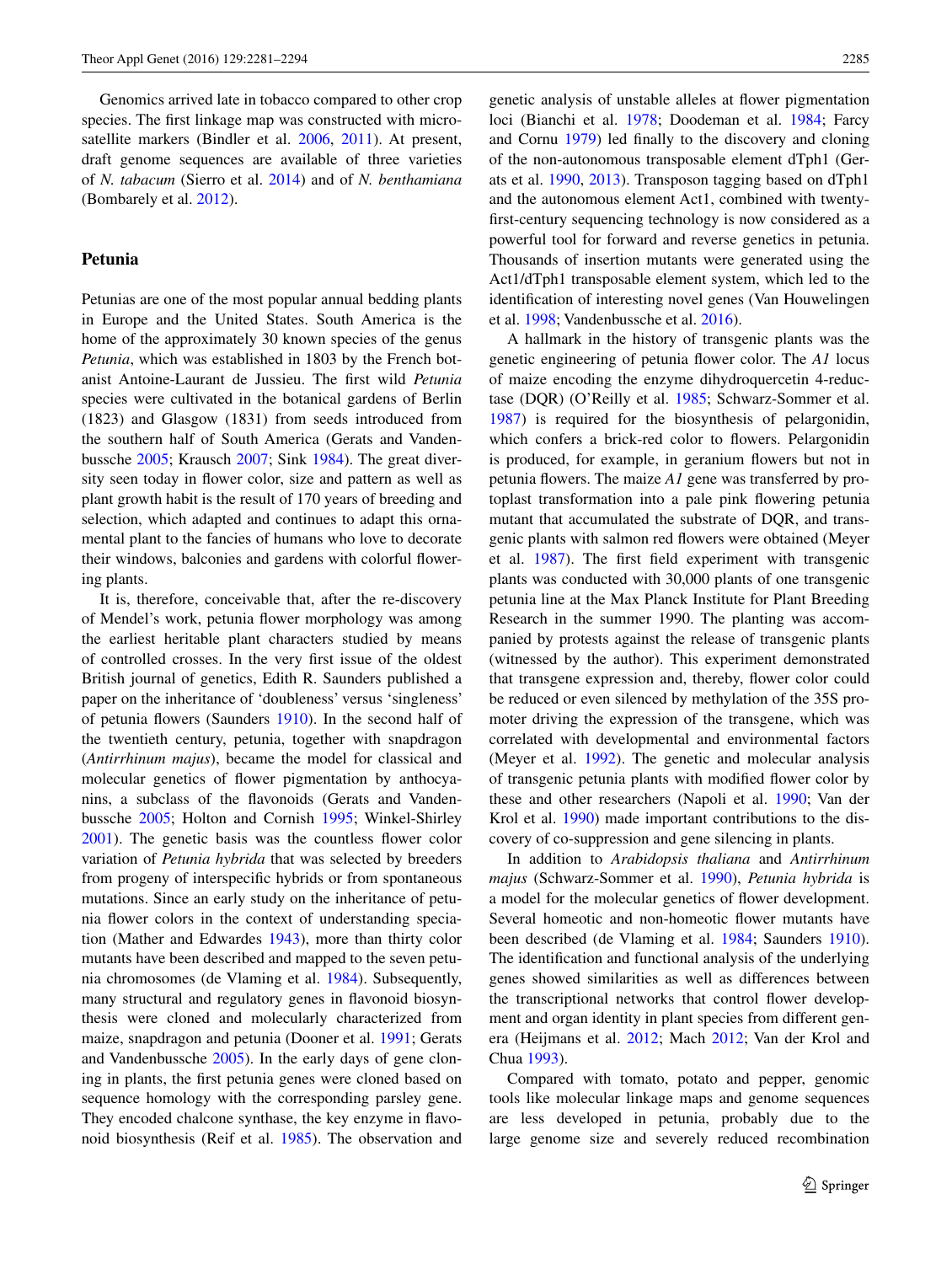Genomics arrived late in tobacco compared to other crop species. The first linkage map was constructed with microsatellite markers (Bindler et al. [2006,](#page-9-16) [2011\)](#page-9-17). At present, draft genome sequences are available of three varieties of *N. tabacum* (Sierro et al. [2014](#page-13-18)) and of *N. benthamiana* (Bombarely et al. [2012](#page-9-18)).

#### **Petunia**

Petunias are one of the most popular annual bedding plants in Europe and the United States. South America is the home of the approximately 30 known species of the genus *Petunia*, which was established in 1803 by the French botanist Antoine-Laurant de Jussieu. The first wild *Petunia* species were cultivated in the botanical gardens of Berlin (1823) and Glasgow (1831) from seeds introduced from the southern half of South America (Gerats and Vandenbussche [2005;](#page-10-19) Krausch [2007;](#page-11-19) Sink [1984](#page-13-19)). The great diversity seen today in flower color, size and pattern as well as plant growth habit is the result of 170 years of breeding and selection, which adapted and continues to adapt this ornamental plant to the fancies of humans who love to decorate their windows, balconies and gardens with colorful flowering plants.

It is, therefore, conceivable that, after the re-discovery of Mendel's work, petunia flower morphology was among the earliest heritable plant characters studied by means of controlled crosses. In the very first issue of the oldest British journal of genetics, Edith R. Saunders published a paper on the inheritance of 'doubleness' versus 'singleness' of petunia flowers (Saunders [1910\)](#page-12-12). In the second half of the twentieth century, petunia, together with snapdragon (*Antirrhinum majus*), became the model for classical and molecular genetics of flower pigmentation by anthocyanins, a subclass of the flavonoids (Gerats and Vandenbussche [2005;](#page-10-19) Holton and Cornish [1995](#page-10-20); Winkel-Shirley [2001](#page-13-20)). The genetic basis was the countless flower color variation of *Petunia hybrida* that was selected by breeders from progeny of interspecific hybrids or from spontaneous mutations. Since an early study on the inheritance of petunia flower colors in the context of understanding speciation (Mather and Edwardes [1943\)](#page-11-20), more than thirty color mutants have been described and mapped to the seven petunia chromosomes (de Vlaming et al. [1984](#page-9-19)). Subsequently, many structural and regulatory genes in flavonoid biosynthesis were cloned and molecularly characterized from maize, snapdragon and petunia (Dooner et al. [1991](#page-9-20); Gerats and Vandenbussche [2005](#page-10-19)). In the early days of gene cloning in plants, the first petunia genes were cloned based on sequence homology with the corresponding parsley gene. They encoded chalcone synthase, the key enzyme in flavonoid biosynthesis (Reif et al. [1985](#page-12-13)). The observation and

genetic analysis of unstable alleles at flower pigmentation loci (Bianchi et al. [1978;](#page-9-21) Doodeman et al. [1984](#page-9-22); Farcy and Cornu [1979](#page-9-23)) led finally to the discovery and cloning of the non-autonomous transposable element dTph1 (Gerats et al. [1990](#page-10-21), [2013\)](#page-10-22). Transposon tagging based on dTph1 and the autonomous element Act1, combined with twentyfirst-century sequencing technology is now considered as a powerful tool for forward and reverse genetics in petunia. Thousands of insertion mutants were generated using the Act1/dTph1 transposable element system, which led to the identification of interesting novel genes (Van Houwelingen et al. [1998](#page-13-21); Vandenbussche et al. [2016\)](#page-13-22).

A hallmark in the history of transgenic plants was the genetic engineering of petunia flower color. The *A1* locus of maize encoding the enzyme dihydroquercetin 4-reductase (DQR) (O'Reilly et al. [1985](#page-12-14); Schwarz-Sommer et al. [1987](#page-13-23)) is required for the biosynthesis of pelargonidin, which confers a brick-red color to flowers. Pelargonidin is produced, for example, in geranium flowers but not in petunia flowers. The maize *A1* gene was transferred by protoplast transformation into a pale pink flowering petunia mutant that accumulated the substrate of DQR, and transgenic plants with salmon red flowers were obtained (Meyer et al. [1987\)](#page-11-21). The first field experiment with transgenic plants was conducted with 30,000 plants of one transgenic petunia line at the Max Planck Institute for Plant Breeding Research in the summer 1990. The planting was accompanied by protests against the release of transgenic plants (witnessed by the author). This experiment demonstrated that transgene expression and, thereby, flower color could be reduced or even silenced by methylation of the 35S promoter driving the expression of the transgene, which was correlated with developmental and environmental factors (Meyer et al. [1992\)](#page-11-22). The genetic and molecular analysis of transgenic petunia plants with modified flower color by these and other researchers (Napoli et al. [1990;](#page-12-15) Van der Krol et al. [1990\)](#page-13-24) made important contributions to the discovery of co-suppression and gene silencing in plants.

In addition to *Arabidopsis thaliana* and *Antirrhinum majus* (Schwarz-Sommer et al. [1990](#page-13-25)), *Petunia hybrida* is a model for the molecular genetics of flower development. Several homeotic and non-homeotic flower mutants have been described (de Vlaming et al. [1984](#page-9-19); Saunders [1910](#page-12-12)). The identification and functional analysis of the underlying genes showed similarities as well as differences between the transcriptional networks that control flower development and organ identity in plant species from different genera (Heijmans et al. [2012](#page-10-23); Mach [2012;](#page-11-23) Van der Krol and Chua [1993\)](#page-13-26).

Compared with tomato, potato and pepper, genomic tools like molecular linkage maps and genome sequences are less developed in petunia, probably due to the large genome size and severely reduced recombination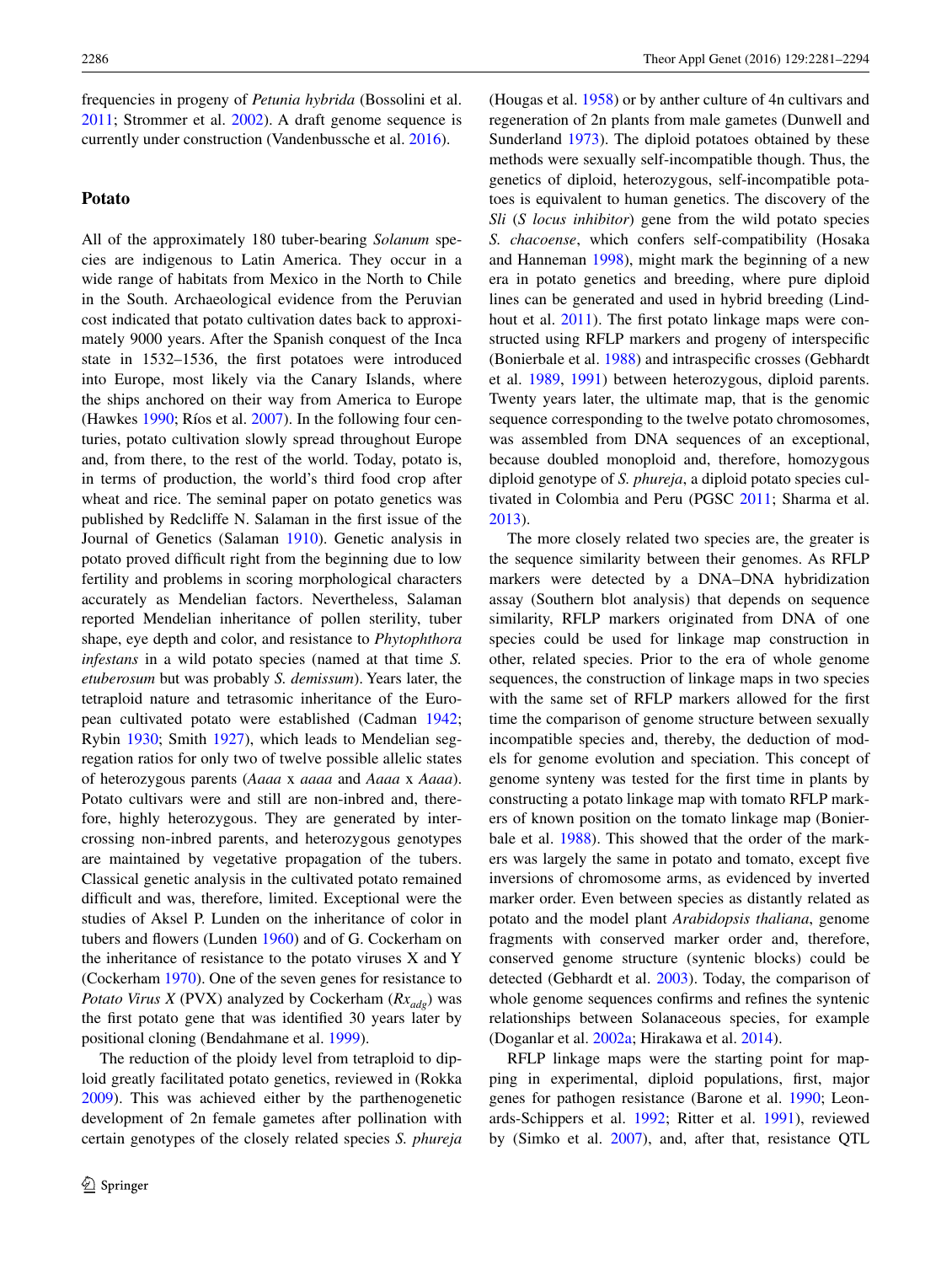frequencies in progeny of *Petunia hybrida* (Bossolini et al. [2011](#page-9-24); Strommer et al. [2002\)](#page-13-27). A draft genome sequence is currently under construction (Vandenbussche et al. [2016](#page-13-22)).

# **Potato**

All of the approximately 180 tuber-bearing *Solanum* species are indigenous to Latin America. They occur in a wide range of habitats from Mexico in the North to Chile in the South. Archaeological evidence from the Peruvian cost indicated that potato cultivation dates back to approximately 9000 years. After the Spanish conquest of the Inca state in 1532–1536, the first potatoes were introduced into Europe, most likely via the Canary Islands, where the ships anchored on their way from America to Europe (Hawkes [1990;](#page-10-24) Ríos et al. [2007](#page-12-16)). In the following four centuries, potato cultivation slowly spread throughout Europe and, from there, to the rest of the world. Today, potato is, in terms of production, the world's third food crop after wheat and rice. The seminal paper on potato genetics was published by Redcliffe N. Salaman in the first issue of the Journal of Genetics (Salaman [1910](#page-12-17)). Genetic analysis in potato proved difficult right from the beginning due to low fertility and problems in scoring morphological characters accurately as Mendelian factors. Nevertheless, Salaman reported Mendelian inheritance of pollen sterility, tuber shape, eye depth and color, and resistance to *Phytophthora infestans* in a wild potato species (named at that time *S. etuberosum* but was probably *S. demissum*). Years later, the tetraploid nature and tetrasomic inheritance of the European cultivated potato were established (Cadman [1942](#page-9-25); Rybin [1930](#page-12-18); Smith [1927](#page-13-28)), which leads to Mendelian segregation ratios for only two of twelve possible allelic states of heterozygous parents (*Aaaa* x *aaaa* and *Aaaa* x *Aaaa*). Potato cultivars were and still are non-inbred and, therefore, highly heterozygous. They are generated by intercrossing non-inbred parents, and heterozygous genotypes are maintained by vegetative propagation of the tubers. Classical genetic analysis in the cultivated potato remained difficult and was, therefore, limited. Exceptional were the studies of Aksel P. Lunden on the inheritance of color in tubers and flowers (Lunden [1960\)](#page-11-24) and of G. Cockerham on the inheritance of resistance to the potato viruses X and Y (Cockerham [1970\)](#page-9-26). One of the seven genes for resistance to *Potato Virus X* (PVX) analyzed by Cockerham  $(Rx_{adg})$  was the first potato gene that was identified 30 years later by positional cloning (Bendahmane et al. [1999](#page-9-27)).

The reduction of the ploidy level from tetraploid to diploid greatly facilitated potato genetics, reviewed in (Rokka [2009](#page-12-19)). This was achieved either by the parthenogenetic development of 2n female gametes after pollination with certain genotypes of the closely related species *S. phureja*

(Hougas et al. [1958](#page-11-25)) or by anther culture of 4n cultivars and regeneration of 2n plants from male gametes (Dunwell and Sunderland [1973](#page-9-28)). The diploid potatoes obtained by these methods were sexually self-incompatible though. Thus, the genetics of diploid, heterozygous, self-incompatible potatoes is equivalent to human genetics. The discovery of the *Sli* (*S locus inhibitor*) gene from the wild potato species *S. chacoense*, which confers self-compatibility (Hosaka and Hanneman [1998](#page-10-25)), might mark the beginning of a new era in potato genetics and breeding, where pure diploid lines can be generated and used in hybrid breeding (Lind-hout et al. [2011](#page-11-26)). The first potato linkage maps were constructed using RFLP markers and progeny of interspecific (Bonierbale et al. [1988\)](#page-9-29) and intraspecific crosses (Gebhardt et al. [1989,](#page-10-26) [1991\)](#page-10-27) between heterozygous, diploid parents. Twenty years later, the ultimate map, that is the genomic sequence corresponding to the twelve potato chromosomes, was assembled from DNA sequences of an exceptional, because doubled monoploid and, therefore, homozygous diploid genotype of *S. phureja*, a diploid potato species cultivated in Colombia and Peru (PGSC [2011](#page-12-20); Sharma et al. [2013](#page-13-29)).

The more closely related two species are, the greater is the sequence similarity between their genomes. As RFLP markers were detected by a DNA–DNA hybridization assay (Southern blot analysis) that depends on sequence similarity, RFLP markers originated from DNA of one species could be used for linkage map construction in other, related species. Prior to the era of whole genome sequences, the construction of linkage maps in two species with the same set of RFLP markers allowed for the first time the comparison of genome structure between sexually incompatible species and, thereby, the deduction of models for genome evolution and speciation. This concept of genome synteny was tested for the first time in plants by constructing a potato linkage map with tomato RFLP markers of known position on the tomato linkage map (Bonierbale et al. [1988](#page-9-29)). This showed that the order of the markers was largely the same in potato and tomato, except five inversions of chromosome arms, as evidenced by inverted marker order. Even between species as distantly related as potato and the model plant *Arabidopsis thaliana*, genome fragments with conserved marker order and, therefore, conserved genome structure (syntenic blocks) could be detected (Gebhardt et al. [2003\)](#page-10-28). Today, the comparison of whole genome sequences confirms and refines the syntenic relationships between Solanaceous species, for example (Doganlar et al. [2002a;](#page-9-30) Hirakawa et al. [2014\)](#page-10-29).

RFLP linkage maps were the starting point for mapping in experimental, diploid populations, first, major genes for pathogen resistance (Barone et al. [1990;](#page-9-31) Leonards-Schippers et al. [1992](#page-11-27); Ritter et al. [1991\)](#page-12-21), reviewed by (Simko et al. [2007](#page-13-30)), and, after that, resistance QTL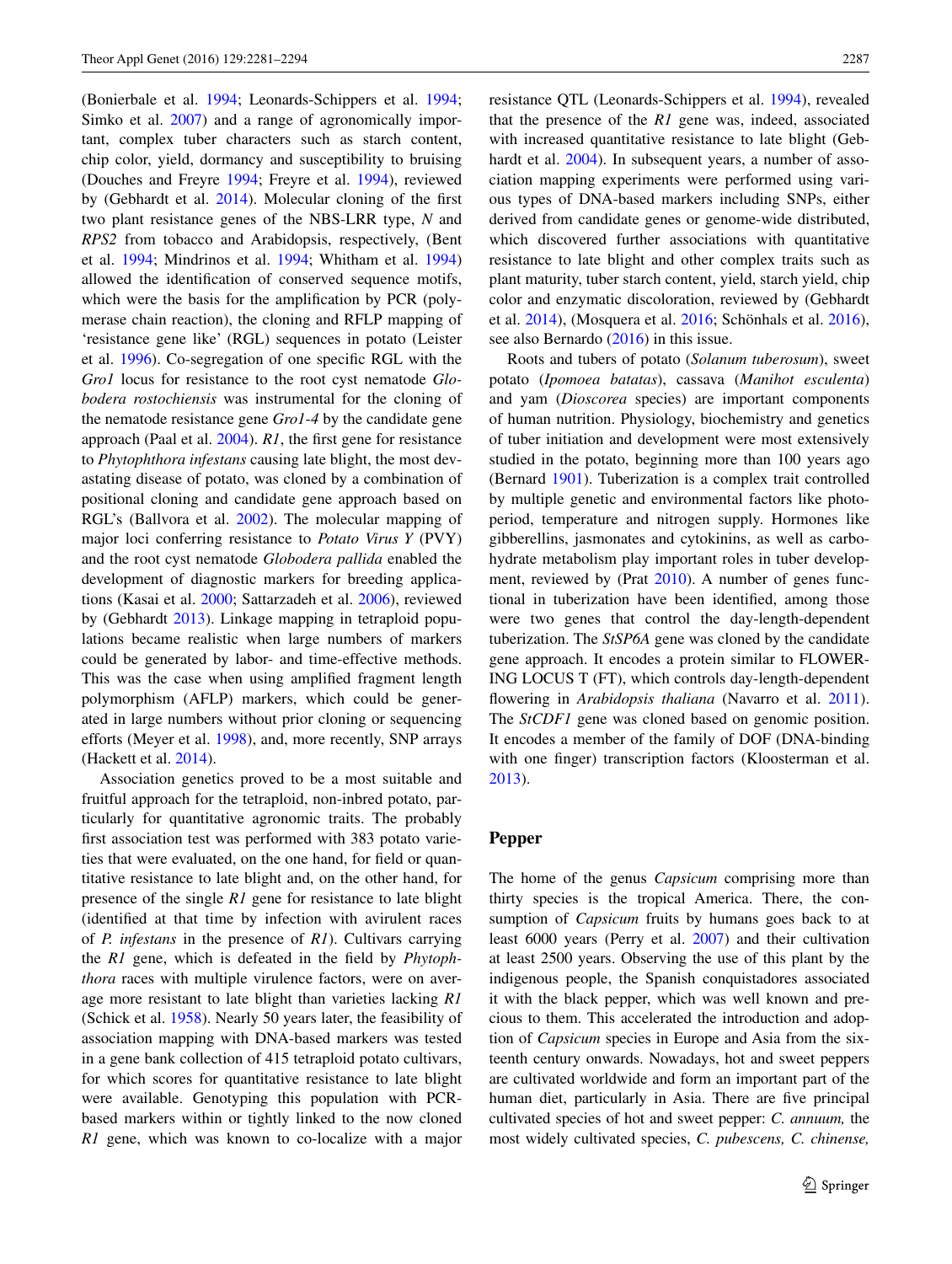(Bonierbale et al. [1994;](#page-9-32) Leonards-Schippers et al. [1994](#page-11-28); Simko et al. [2007\)](#page-13-30) and a range of agronomically important, complex tuber characters such as starch content, chip color, yield, dormancy and susceptibility to bruising (Douches and Freyre [1994;](#page-9-33) Freyre et al. [1994](#page-10-30)), reviewed by (Gebhardt et al. [2014](#page-10-31)). Molecular cloning of the first two plant resistance genes of the NBS-LRR type, *N* and *RPS2* from tobacco and Arabidopsis, respectively, (Bent et al. [1994;](#page-9-34) Mindrinos et al. [1994](#page-11-29); Whitham et al. [1994\)](#page-13-16) allowed the identification of conserved sequence motifs, which were the basis for the amplification by PCR (polymerase chain reaction), the cloning and RFLP mapping of 'resistance gene like' (RGL) sequences in potato (Leister et al. [1996\)](#page-11-30). Co-segregation of one specific RGL with the *Gro1* locus for resistance to the root cyst nematode *Globodera rostochiensis* was instrumental for the cloning of the nematode resistance gene *Gro1*-*4* by the candidate gene approach (Paal et al. [2004\)](#page-12-22). *R1*, the first gene for resistance to *Phytophthora infestans* causing late blight, the most devastating disease of potato, was cloned by a combination of positional cloning and candidate gene approach based on RGL's (Ballvora et al. [2002\)](#page-8-2). The molecular mapping of major loci conferring resistance to *Potato Virus Y* (PVY) and the root cyst nematode *Globodera pallida* enabled the development of diagnostic markers for breeding applications (Kasai et al. [2000;](#page-11-31) Sattarzadeh et al. [2006](#page-12-23)), reviewed by (Gebhardt [2013\)](#page-10-32). Linkage mapping in tetraploid populations became realistic when large numbers of markers could be generated by labor- and time-effective methods. This was the case when using amplified fragment length polymorphism (AFLP) markers, which could be generated in large numbers without prior cloning or sequencing efforts (Meyer et al. [1998\)](#page-11-32), and, more recently, SNP arrays (Hackett et al. [2014\)](#page-10-33).

Association genetics proved to be a most suitable and fruitful approach for the tetraploid, non-inbred potato, particularly for quantitative agronomic traits. The probably first association test was performed with 383 potato varieties that were evaluated, on the one hand, for field or quantitative resistance to late blight and, on the other hand, for presence of the single *R1* gene for resistance to late blight (identified at that time by infection with avirulent races of *P. infestans* in the presence of *R1*). Cultivars carrying the *R1* gene, which is defeated in the field by *Phytophthora* races with multiple virulence factors, were on average more resistant to late blight than varieties lacking *R1* (Schick et al. [1958](#page-12-24)). Nearly 50 years later, the feasibility of association mapping with DNA-based markers was tested in a gene bank collection of 415 tetraploid potato cultivars, for which scores for quantitative resistance to late blight were available. Genotyping this population with PCRbased markers within or tightly linked to the now cloned *R1* gene, which was known to co-localize with a major resistance QTL (Leonards-Schippers et al. [1994\)](#page-11-28), revealed that the presence of the *R1* gene was, indeed, associated with increased quantitative resistance to late blight (Geb-hardt et al. [2004\)](#page-10-34). In subsequent years, a number of association mapping experiments were performed using various types of DNA-based markers including SNPs, either derived from candidate genes or genome-wide distributed, which discovered further associations with quantitative resistance to late blight and other complex traits such as plant maturity, tuber starch content, yield, starch yield, chip color and enzymatic discoloration, reviewed by (Gebhardt et al. [2014\)](#page-10-31), (Mosquera et al. [2016](#page-11-33); Schönhals et al. [2016](#page-13-31)), see also Bernardo [\(2016](#page-9-6)) in this issue.

Roots and tubers of potato (*Solanum tuberosum*), sweet potato (*Ipomoea batatas*), cassava (*Manihot esculenta*) and yam (*Dioscorea* species) are important components of human nutrition. Physiology, biochemistry and genetics of tuber initiation and development were most extensively studied in the potato, beginning more than 100 years ago (Bernard [1901](#page-9-35)). Tuberization is a complex trait controlled by multiple genetic and environmental factors like photoperiod, temperature and nitrogen supply. Hormones like gibberellins, jasmonates and cytokinins, as well as carbohydrate metabolism play important roles in tuber development, reviewed by (Prat [2010\)](#page-12-25). A number of genes functional in tuberization have been identified, among those were two genes that control the day-length-dependent tuberization. The *StSP6A* gene was cloned by the candidate gene approach. It encodes a protein similar to FLOWER-ING LOCUS T (FT), which controls day-length-dependent flowering in *Arabidopsis thaliana* (Navarro et al. [2011](#page-12-26)). The *StCDF1* gene was cloned based on genomic position. It encodes a member of the family of DOF (DNA-binding with one finger) transcription factors (Kloosterman et al. [2013](#page-11-34)).

## **Pepper**

The home of the genus *Capsicum* comprising more than thirty species is the tropical America. There, the consumption of *Capsicum* fruits by humans goes back to at least 6000 years (Perry et al. [2007](#page-12-27)) and their cultivation at least 2500 years. Observing the use of this plant by the indigenous people, the Spanish conquistadores associated it with the black pepper, which was well known and precious to them. This accelerated the introduction and adoption of *Capsicum* species in Europe and Asia from the sixteenth century onwards. Nowadays, hot and sweet peppers are cultivated worldwide and form an important part of the human diet, particularly in Asia. There are five principal cultivated species of hot and sweet pepper: *C. annuum,* the most widely cultivated species, *C. pubescens, C. chinense,*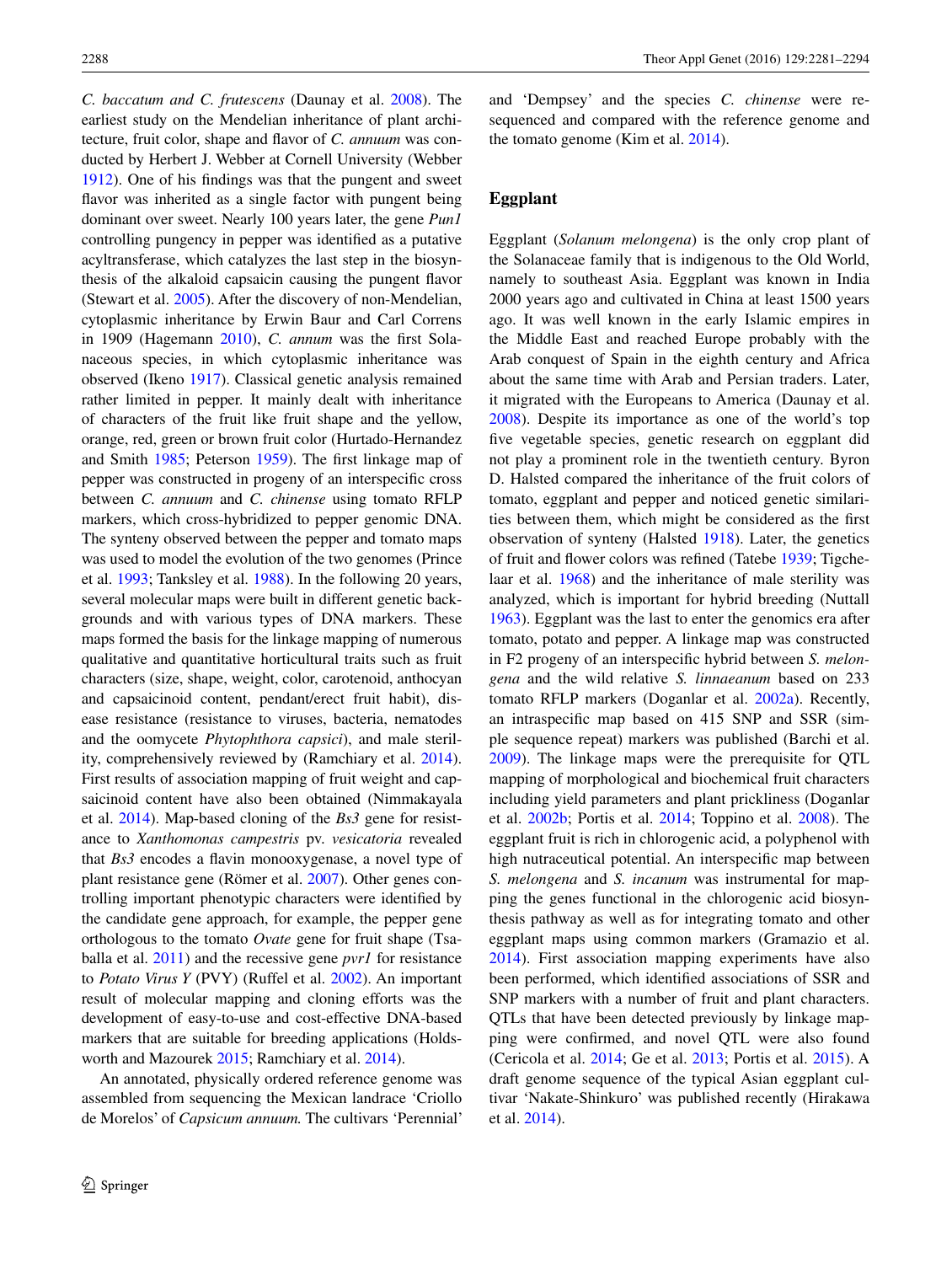*C. baccatum and C. frutescens* (Daunay et al. [2008](#page-9-1)). The earliest study on the Mendelian inheritance of plant architecture, fruit color, shape and flavor of *C. annuum* was conducted by Herbert J. Webber at Cornell University (Webber [1912\)](#page-13-32). One of his findings was that the pungent and sweet flavor was inherited as a single factor with pungent being dominant over sweet. Nearly 100 years later, the gene *Pun1* controlling pungency in pepper was identified as a putative acyltransferase, which catalyzes the last step in the biosynthesis of the alkaloid capsaicin causing the pungent flavor (Stewart et al. [2005\)](#page-13-33). After the discovery of non-Mendelian, cytoplasmic inheritance by Erwin Baur and Carl Correns in 1909 (Hagemann [2010\)](#page-10-35), *C. annum* was the first Solanaceous species, in which cytoplasmic inheritance was observed (Ikeno [1917](#page-11-35)). Classical genetic analysis remained rather limited in pepper. It mainly dealt with inheritance of characters of the fruit like fruit shape and the yellow, orange, red, green or brown fruit color (Hurtado-Hernandez and Smith [1985](#page-11-36); Peterson [1959](#page-12-28)). The first linkage map of pepper was constructed in progeny of an interspecific cross between *C. annuum* and *C. chinense* using tomato RFLP markers, which cross-hybridized to pepper genomic DNA. The synteny observed between the pepper and tomato maps was used to model the evolution of the two genomes (Prince et al. [1993;](#page-12-29) Tanksley et al. [1988](#page-13-34)). In the following 20 years, several molecular maps were built in different genetic backgrounds and with various types of DNA markers. These maps formed the basis for the linkage mapping of numerous qualitative and quantitative horticultural traits such as fruit characters (size, shape, weight, color, carotenoid, anthocyan and capsaicinoid content, pendant/erect fruit habit), disease resistance (resistance to viruses, bacteria, nematodes and the oomycete *Phytophthora capsici*), and male sterility, comprehensively reviewed by (Ramchiary et al. [2014](#page-12-30)). First results of association mapping of fruit weight and capsaicinoid content have also been obtained (Nimmakayala et al. [2014](#page-12-31)). Map-based cloning of the *Bs3* gene for resistance to *Xanthomonas campestris* pv. *vesicatoria* revealed that *Bs3* encodes a flavin monooxygenase, a novel type of plant resistance gene (Römer et al. [2007](#page-12-32)). Other genes controlling important phenotypic characters were identified by the candidate gene approach, for example, the pepper gene orthologous to the tomato *Ovate* gene for fruit shape (Tsaballa et al. [2011\)](#page-13-35) and the recessive gene *pvr1* for resistance to *Potato Virus Y* (PVY) (Ruffel et al. [2002\)](#page-12-33). An important result of molecular mapping and cloning efforts was the development of easy-to-use and cost-effective DNA-based markers that are suitable for breeding applications (Holdsworth and Mazourek [2015;](#page-10-36) Ramchiary et al. [2014](#page-12-30)).

An annotated, physically ordered reference genome was assembled from sequencing the Mexican landrace 'Criollo de Morelos' of *Capsicum annuum.* The cultivars 'Perennial' and 'Dempsey' and the species *C. chinense* were resequenced and compared with the reference genome and the tomato genome (Kim et al. [2014\)](#page-11-37).

# **Eggplant**

Eggplant (*Solanum melongena*) is the only crop plant of the Solanaceae family that is indigenous to the Old World, namely to southeast Asia. Eggplant was known in India 2000 years ago and cultivated in China at least 1500 years ago. It was well known in the early Islamic empires in the Middle East and reached Europe probably with the Arab conquest of Spain in the eighth century and Africa about the same time with Arab and Persian traders. Later, it migrated with the Europeans to America (Daunay et al. [2008](#page-9-1)). Despite its importance as one of the world's top five vegetable species, genetic research on eggplant did not play a prominent role in the twentieth century. Byron D. Halsted compared the inheritance of the fruit colors of tomato, eggplant and pepper and noticed genetic similarities between them, which might be considered as the first observation of synteny (Halsted [1918\)](#page-10-37). Later, the genetics of fruit and flower colors was refined (Tatebe [1939](#page-13-36); Tigchelaar et al. [1968](#page-13-37)) and the inheritance of male sterility was analyzed, which is important for hybrid breeding (Nuttall [1963](#page-12-34)). Eggplant was the last to enter the genomics era after tomato, potato and pepper. A linkage map was constructed in F2 progeny of an interspecific hybrid between *S. melongena* and the wild relative *S. linnaeanum* based on 233 tomato RFLP markers (Doganlar et al. [2002a\)](#page-9-30). Recently, an intraspecific map based on 415 SNP and SSR (simple sequence repeat) markers was published (Barchi et al. [2009](#page-9-36)). The linkage maps were the prerequisite for QTL mapping of morphological and biochemical fruit characters including yield parameters and plant prickliness (Doganlar et al. [2002b](#page-9-37); Portis et al. [2014;](#page-12-35) Toppino et al. [2008](#page-13-38)). The eggplant fruit is rich in chlorogenic acid, a polyphenol with high nutraceutical potential. An interspecific map between *S. melongena* and *S. incanum* was instrumental for mapping the genes functional in the chlorogenic acid biosynthesis pathway as well as for integrating tomato and other eggplant maps using common markers (Gramazio et al. [2014](#page-10-38)). First association mapping experiments have also been performed, which identified associations of SSR and SNP markers with a number of fruit and plant characters. QTLs that have been detected previously by linkage mapping were confirmed, and novel QTL were also found (Cericola et al. [2014;](#page-9-38) Ge et al. [2013](#page-10-39); Portis et al. [2015\)](#page-12-36). A draft genome sequence of the typical Asian eggplant cultivar 'Nakate-Shinkuro' was published recently (Hirakawa et al. [2014](#page-10-29)).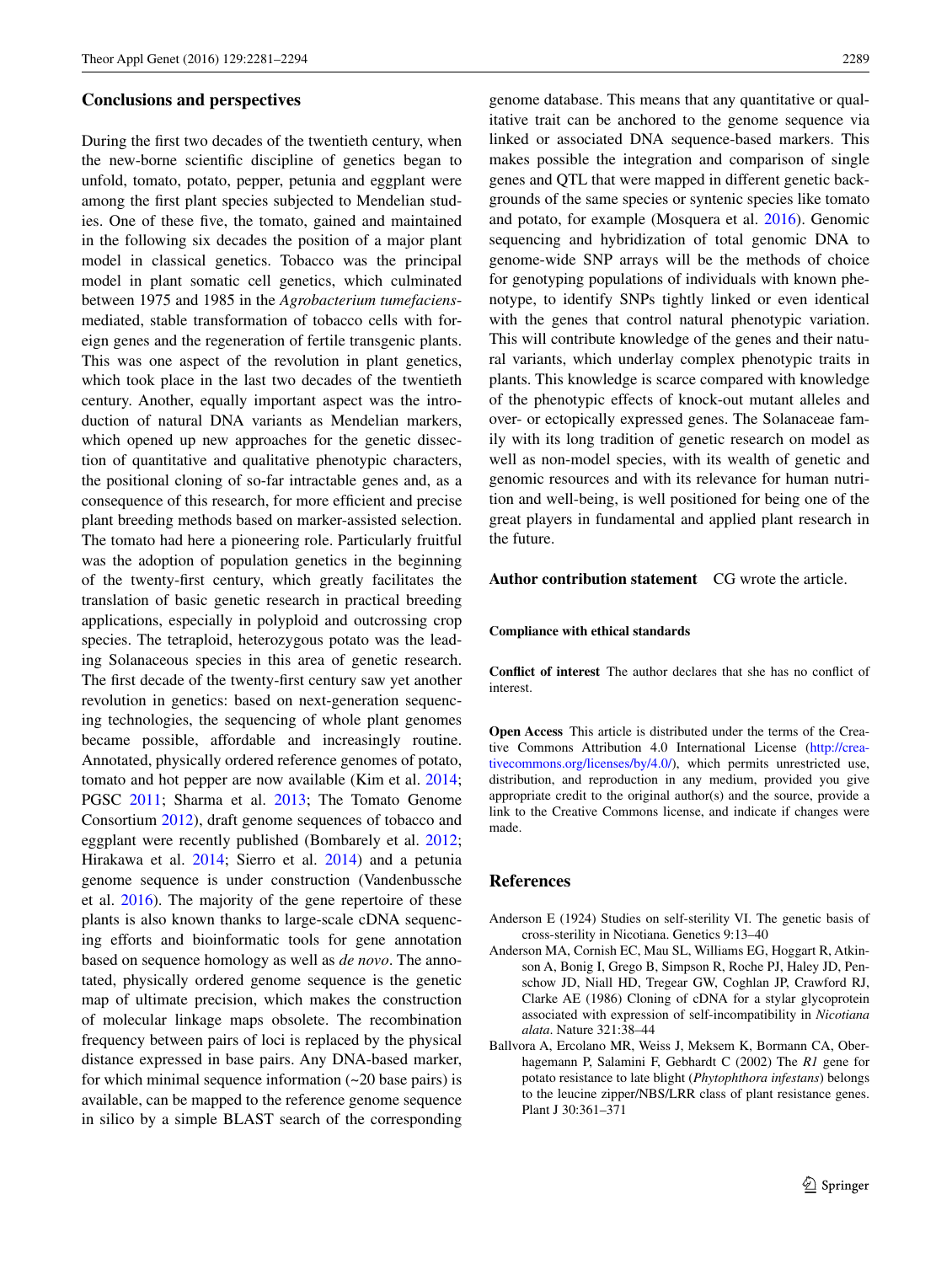#### **Conclusions and perspectives**

During the first two decades of the twentieth century, when the new-borne scientific discipline of genetics began to unfold, tomato, potato, pepper, petunia and eggplant were among the first plant species subjected to Mendelian studies. One of these five, the tomato, gained and maintained in the following six decades the position of a major plant model in classical genetics. Tobacco was the principal model in plant somatic cell genetics, which culminated between 1975 and 1985 in the *Agrobacterium tumefaciens*mediated, stable transformation of tobacco cells with foreign genes and the regeneration of fertile transgenic plants. This was one aspect of the revolution in plant genetics, which took place in the last two decades of the twentieth century. Another, equally important aspect was the introduction of natural DNA variants as Mendelian markers, which opened up new approaches for the genetic dissection of quantitative and qualitative phenotypic characters, the positional cloning of so-far intractable genes and, as a consequence of this research, for more efficient and precise plant breeding methods based on marker-assisted selection. The tomato had here a pioneering role. Particularly fruitful was the adoption of population genetics in the beginning of the twenty-first century, which greatly facilitates the translation of basic genetic research in practical breeding applications, especially in polyploid and outcrossing crop species. The tetraploid, heterozygous potato was the leading Solanaceous species in this area of genetic research. The first decade of the twenty-first century saw yet another revolution in genetics: based on next-generation sequencing technologies, the sequencing of whole plant genomes became possible, affordable and increasingly routine. Annotated, physically ordered reference genomes of potato, tomato and hot pepper are now available (Kim et al. [2014](#page-11-37); PGSC [2011](#page-12-20); Sharma et al. [2013;](#page-13-29) The Tomato Genome Consortium [2012](#page-13-6)), draft genome sequences of tobacco and eggplant were recently published (Bombarely et al. [2012](#page-9-18); Hirakawa et al. [2014;](#page-10-29) Sierro et al. [2014](#page-13-18)) and a petunia genome sequence is under construction (Vandenbussche et al. [2016\)](#page-13-22). The majority of the gene repertoire of these plants is also known thanks to large-scale cDNA sequencing efforts and bioinformatic tools for gene annotation based on sequence homology as well as *de novo*. The annotated, physically ordered genome sequence is the genetic map of ultimate precision, which makes the construction of molecular linkage maps obsolete. The recombination frequency between pairs of loci is replaced by the physical distance expressed in base pairs. Any DNA-based marker, for which minimal sequence information  $(-20)$  base pairs) is available, can be mapped to the reference genome sequence in silico by a simple BLAST search of the corresponding

genome database. This means that any quantitative or qualitative trait can be anchored to the genome sequence via linked or associated DNA sequence-based markers. This makes possible the integration and comparison of single genes and QTL that were mapped in different genetic backgrounds of the same species or syntenic species like tomato and potato, for example (Mosquera et al. [2016](#page-11-33)). Genomic sequencing and hybridization of total genomic DNA to genome-wide SNP arrays will be the methods of choice for genotyping populations of individuals with known phenotype, to identify SNPs tightly linked or even identical with the genes that control natural phenotypic variation. This will contribute knowledge of the genes and their natural variants, which underlay complex phenotypic traits in plants. This knowledge is scarce compared with knowledge of the phenotypic effects of knock-out mutant alleles and over- or ectopically expressed genes. The Solanaceae family with its long tradition of genetic research on model as well as non-model species, with its wealth of genetic and genomic resources and with its relevance for human nutrition and well-being, is well positioned for being one of the great players in fundamental and applied plant research in the future.

**Author contribution statement** CG wrote the article.

#### **Compliance with ethical standards**

**Conflict of interest** The author declares that she has no conflict of interest.

**Open Access** This article is distributed under the terms of the Creative Commons Attribution 4.0 International License ([http://crea](http://creativecommons.org/licenses/by/4.0/)[tivecommons.org/licenses/by/4.0/](http://creativecommons.org/licenses/by/4.0/)), which permits unrestricted use, distribution, and reproduction in any medium, provided you give appropriate credit to the original author(s) and the source, provide a link to the Creative Commons license, and indicate if changes were made.

#### **References**

- <span id="page-8-0"></span>Anderson E (1924) Studies on self-sterility VI. The genetic basis of cross-sterility in Nicotiana. Genetics 9:13–40
- <span id="page-8-1"></span>Anderson MA, Cornish EC, Mau SL, Williams EG, Hoggart R, Atkinson A, Bonig I, Grego B, Simpson R, Roche PJ, Haley JD, Penschow JD, Niall HD, Tregear GW, Coghlan JP, Crawford RJ, Clarke AE (1986) Cloning of cDNA for a stylar glycoprotein associated with expression of self-incompatibility in *Nicotiana alata*. Nature 321:38–44
- <span id="page-8-2"></span>Ballvora A, Ercolano MR, Weiss J, Meksem K, Bormann CA, Oberhagemann P, Salamini F, Gebhardt C (2002) The *R1* gene for potato resistance to late blight (*Phytophthora infestans*) belongs to the leucine zipper/NBS/LRR class of plant resistance genes. Plant J 30:361–371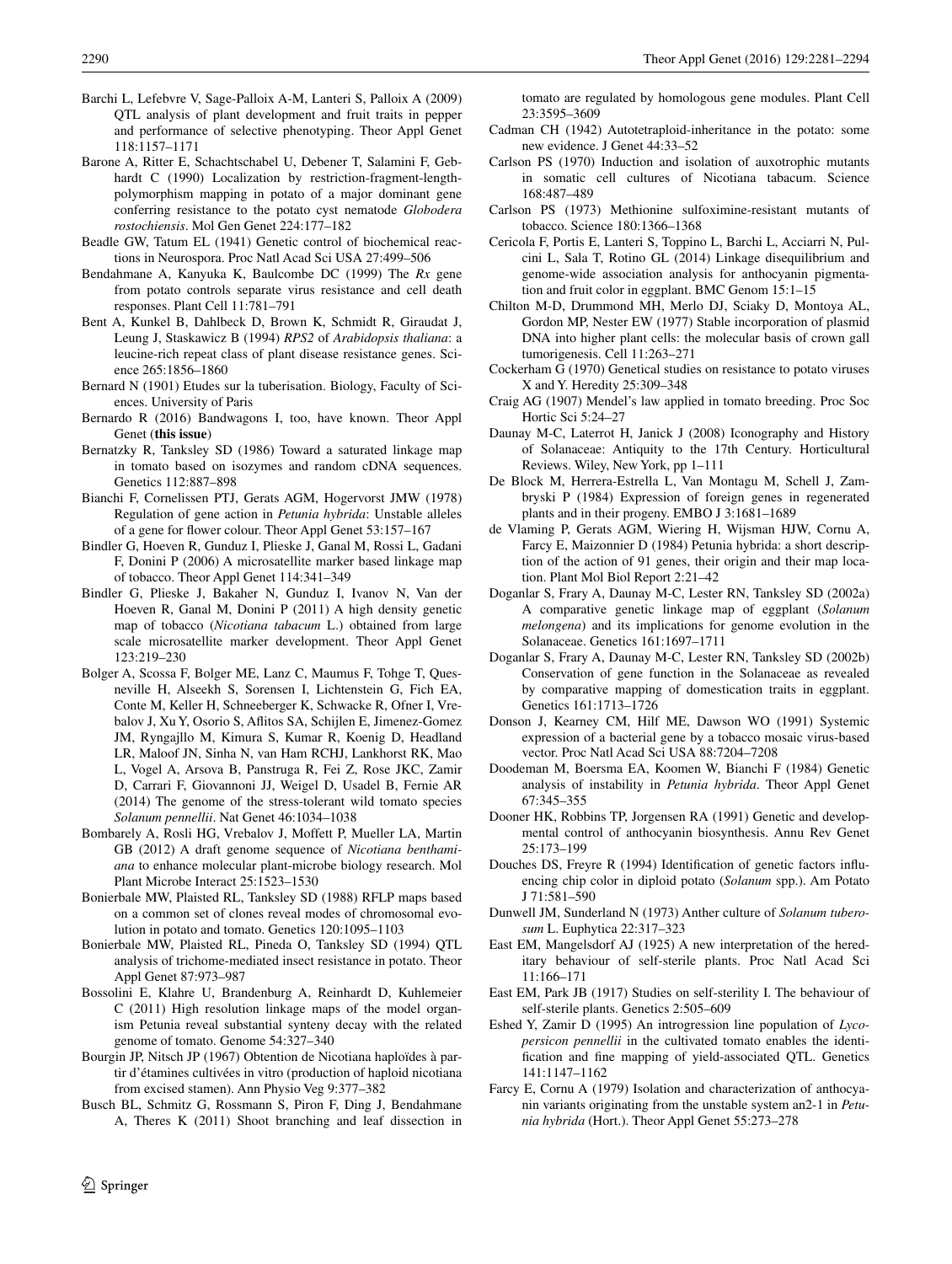- <span id="page-9-36"></span>Barchi L, Lefebvre V, Sage-Palloix A-M, Lanteri S, Palloix A (2009) QTL analysis of plant development and fruit traits in pepper and performance of selective phenotyping. Theor Appl Genet 118:1157–1171
- <span id="page-9-31"></span>Barone A, Ritter E, Schachtschabel U, Debener T, Salamini F, Gebhardt C (1990) Localization by restriction-fragment-lengthpolymorphism mapping in potato of a major dominant gene conferring resistance to the potato cyst nematode *Globodera rostochiensis*. Mol Gen Genet 224:177–182
- <span id="page-9-0"></span>Beadle GW, Tatum EL (1941) Genetic control of biochemical reactions in Neurospora. Proc Natl Acad Sci USA 27:499–506
- <span id="page-9-27"></span>Bendahmane A, Kanyuka K, Baulcombe DC (1999) The *Rx* gene from potato controls separate virus resistance and cell death responses. Plant Cell 11:781–791
- <span id="page-9-34"></span>Bent A, Kunkel B, Dahlbeck D, Brown K, Schmidt R, Giraudat J, Leung J, Staskawicz B (1994) *RPS2* of *Arabidopsis thaliana*: a leucine-rich repeat class of plant disease resistance genes. Science 265:1856–1860
- <span id="page-9-35"></span>Bernard N (1901) Etudes sur la tuberisation. Biology, Faculty of Sciences. University of Paris
- <span id="page-9-6"></span>Bernardo R (2016) Bandwagons I, too, have known. Theor Appl Genet (**this issue**)
- <span id="page-9-4"></span>Bernatzky R, Tanksley SD (1986) Toward a saturated linkage map in tomato based on isozymes and random cDNA sequences. Genetics 112:887–898
- <span id="page-9-21"></span>Bianchi F, Cornelissen PTJ, Gerats AGM, Hogervorst JMW (1978) Regulation of gene action in *Petunia hybrida*: Unstable alleles of a gene for flower colour. Theor Appl Genet 53:157–167
- <span id="page-9-16"></span>Bindler G, Hoeven R, Gunduz I, Plieske J, Ganal M, Rossi L, Gadani F, Donini P (2006) A microsatellite marker based linkage map of tobacco. Theor Appl Genet 114:341–349
- <span id="page-9-17"></span>Bindler G, Plieske J, Bakaher N, Gunduz I, Ivanov N, Van der Hoeven R, Ganal M, Donini P (2011) A high density genetic map of tobacco (*Nicotiana tabacum* L.) obtained from large scale microsatellite marker development. Theor Appl Genet 123:219–230
- <span id="page-9-5"></span>Bolger A, Scossa F, Bolger ME, Lanz C, Maumus F, Tohge T, Quesneville H, Alseekh S, Sorensen I, Lichtenstein G, Fich EA, Conte M, Keller H, Schneeberger K, Schwacke R, Ofner I, Vrebalov J, Xu Y, Osorio S, Aflitos SA, Schijlen E, Jimenez-Gomez JM, Ryngajllo M, Kimura S, Kumar R, Koenig D, Headland LR, Maloof JN, Sinha N, van Ham RCHJ, Lankhorst RK, Mao L, Vogel A, Arsova B, Panstruga R, Fei Z, Rose JKC, Zamir D, Carrari F, Giovannoni JJ, Weigel D, Usadel B, Fernie AR (2014) The genome of the stress-tolerant wild tomato species *Solanum pennellii*. Nat Genet 46:1034–1038
- <span id="page-9-18"></span>Bombarely A, Rosli HG, Vrebalov J, Moffett P, Mueller LA, Martin GB (2012) A draft genome sequence of *Nicotiana benthamiana* to enhance molecular plant-microbe biology research. Mol Plant Microbe Interact 25:1523–1530
- <span id="page-9-29"></span>Bonierbale MW, Plaisted RL, Tanksley SD (1988) RFLP maps based on a common set of clones reveal modes of chromosomal evolution in potato and tomato. Genetics 120:1095–1103
- <span id="page-9-32"></span>Bonierbale MW, Plaisted RL, Pineda O, Tanksley SD (1994) QTL analysis of trichome-mediated insect resistance in potato. Theor Appl Genet 87:973–987
- <span id="page-9-24"></span>Bossolini E, Klahre U, Brandenburg A, Reinhardt D, Kuhlemeier C (2011) High resolution linkage maps of the model organism Petunia reveal substantial synteny decay with the related genome of tomato. Genome 54:327–340
- <span id="page-9-8"></span>Bourgin JP, Nitsch JP (1967) Obtention de Nicotiana haploïdes à partir d'étamines cultivées in vitro (production of haploid nicotiana from excised stamen). Ann Physio Veg 9:377–382
- <span id="page-9-3"></span>Busch BL, Schmitz G, Rossmann S, Piron F, Ding J, Bendahmane A, Theres K (2011) Shoot branching and leaf dissection in

tomato are regulated by homologous gene modules. Plant Cell 23:3595–3609

- <span id="page-9-25"></span>Cadman CH (1942) Autotetraploid-inheritance in the potato: some new evidence. J Genet 44:33–52
- <span id="page-9-9"></span>Carlson PS (1970) Induction and isolation of auxotrophic mutants in somatic cell cultures of Nicotiana tabacum. Science 168:487–489
- <span id="page-9-10"></span>Carlson PS (1973) Methionine sulfoximine-resistant mutants of tobacco. Science 180:1366–1368
- <span id="page-9-38"></span>Cericola F, Portis E, Lanteri S, Toppino L, Barchi L, Acciarri N, Pulcini L, Sala T, Rotino GL (2014) Linkage disequilibrium and genome-wide association analysis for anthocyanin pigmentation and fruit color in eggplant. BMC Genom 15:1–15
- <span id="page-9-11"></span>Chilton M-D, Drummond MH, Merlo DJ, Sciaky D, Montoya AL, Gordon MP, Nester EW (1977) Stable incorporation of plasmid DNA into higher plant cells: the molecular basis of crown gall tumorigenesis. Cell 11:263–271
- <span id="page-9-26"></span>Cockerham G (1970) Genetical studies on resistance to potato viruses X and Y. Heredity 25:309–348
- <span id="page-9-2"></span>Craig AG (1907) Mendel's law applied in tomato breeding. Proc Soc Hortic Sci 5:24–27
- <span id="page-9-1"></span>Daunay M-C, Laterrot H, Janick J (2008) Iconography and History of Solanaceae: Antiquity to the 17th Century. Horticultural Reviews. Wiley, New York, pp 1–111
- <span id="page-9-12"></span>De Block M, Herrera-Estrella L, Van Montagu M, Schell J, Zambryski P (1984) Expression of foreign genes in regenerated plants and in their progeny. EMBO J 3:1681–1689
- <span id="page-9-19"></span>de Vlaming P, Gerats AGM, Wiering H, Wijsman HJW, Cornu A, Farcy E, Maizonnier D (1984) Petunia hybrida: a short description of the action of 91 genes, their origin and their map location. Plant Mol Biol Report 2:21–42
- <span id="page-9-30"></span>Doganlar S, Frary A, Daunay M-C, Lester RN, Tanksley SD (2002a) A comparative genetic linkage map of eggplant (*Solanum melongena*) and its implications for genome evolution in the Solanaceae. Genetics 161:1697–1711
- <span id="page-9-37"></span>Doganlar S, Frary A, Daunay M-C, Lester RN, Tanksley SD (2002b) Conservation of gene function in the Solanaceae as revealed by comparative mapping of domestication traits in eggplant. Genetics 161:1713–1726
- <span id="page-9-15"></span>Donson J, Kearney CM, Hilf ME, Dawson WO (1991) Systemic expression of a bacterial gene by a tobacco mosaic virus-based vector. Proc Natl Acad Sci USA 88:7204–7208
- <span id="page-9-22"></span>Doodeman M, Boersma EA, Koomen W, Bianchi F (1984) Genetic analysis of instability in *Petunia hybrida*. Theor Appl Genet 67:345–355
- <span id="page-9-20"></span>Dooner HK, Robbins TP, Jorgensen RA (1991) Genetic and developmental control of anthocyanin biosynthesis. Annu Rev Genet 25:173–199
- <span id="page-9-33"></span>Douches DS, Freyre R (1994) Identification of genetic factors influencing chip color in diploid potato (*Solanum* spp.). Am Potato J 71:581–590
- <span id="page-9-28"></span>Dunwell JM, Sunderland N (1973) Anther culture of *Solanum tuberosum* L. Euphytica 22:317–323
- <span id="page-9-13"></span>East EM, Mangelsdorf AJ (1925) A new interpretation of the hereditary behaviour of self-sterile plants. Proc Natl Acad Sci 11:166–171
- <span id="page-9-14"></span>East EM, Park JB (1917) Studies on self-sterility I. The behaviour of self-sterile plants. Genetics 2:505–609
- <span id="page-9-7"></span>Eshed Y, Zamir D (1995) An introgression line population of *Lycopersicon pennellii* in the cultivated tomato enables the identification and fine mapping of yield-associated QTL. Genetics 141:1147–1162
- <span id="page-9-23"></span>Farcy E, Cornu A (1979) Isolation and characterization of anthocyanin variants originating from the unstable system an2-1 in *Petunia hybrida* (Hort.). Theor Appl Genet 55:273–278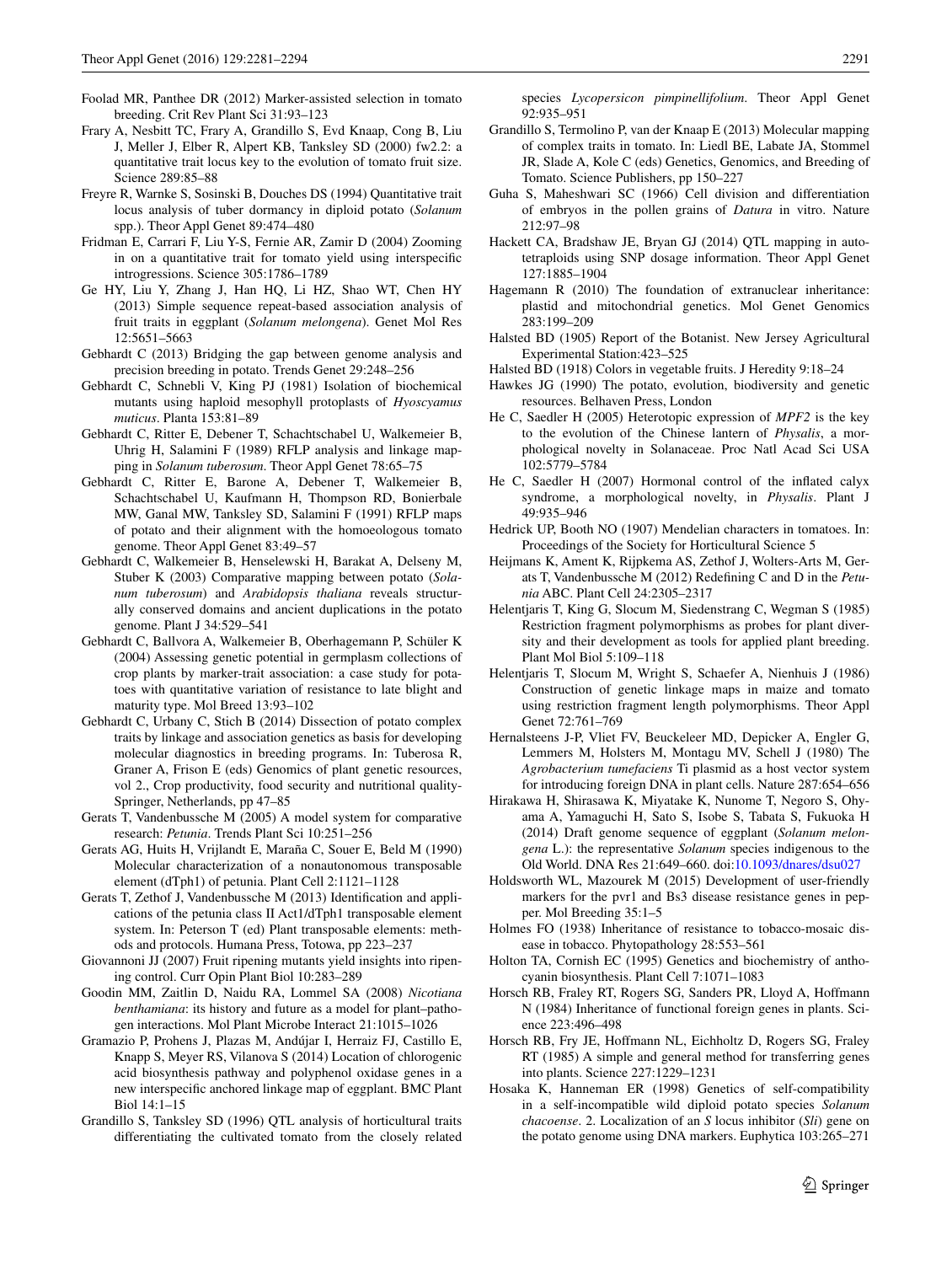- <span id="page-10-8"></span>Foolad MR, Panthee DR (2012) Marker-assisted selection in tomato breeding. Crit Rev Plant Sci 31:93–123
- <span id="page-10-10"></span>Frary A, Nesbitt TC, Frary A, Grandillo S, Evd Knaap, Cong B, Liu J, Meller J, Elber R, Alpert KB, Tanksley SD (2000) fw2.2: a quantitative trait locus key to the evolution of tomato fruit size. Science 289:85–88
- <span id="page-10-30"></span>Freyre R, Warnke S, Sosinski B, Douches DS (1994) Quantitative trait locus analysis of tuber dormancy in diploid potato (*Solanum* spp.). Theor Appl Genet 89:474–480
- <span id="page-10-12"></span>Fridman E, Carrari F, Liu Y-S, Fernie AR, Zamir D (2004) Zooming in on a quantitative trait for tomato yield using interspecific introgressions. Science 305:1786–1789
- <span id="page-10-39"></span>Ge HY, Liu Y, Zhang J, Han HQ, Li HZ, Shao WT, Chen HY (2013) Simple sequence repeat-based association analysis of fruit traits in eggplant (*Solanum melongena*). Genet Mol Res 12:5651–5663
- <span id="page-10-32"></span>Gebhardt C (2013) Bridging the gap between genome analysis and precision breeding in potato. Trends Genet 29:248–256
- <span id="page-10-1"></span>Gebhardt C, Schnebli V, King PJ (1981) Isolation of biochemical mutants using haploid mesophyll protoplasts of *Hyoscyamus muticus*. Planta 153:81–89
- <span id="page-10-26"></span>Gebhardt C, Ritter E, Debener T, Schachtschabel U, Walkemeier B, Uhrig H, Salamini F (1989) RFLP analysis and linkage mapping in *Solanum tuberosum*. Theor Appl Genet 78:65–75
- <span id="page-10-27"></span>Gebhardt C, Ritter E, Barone A, Debener T, Walkemeier B, Schachtschabel U, Kaufmann H, Thompson RD, Bonierbale MW, Ganal MW, Tanksley SD, Salamini F (1991) RFLP maps of potato and their alignment with the homoeologous tomato genome. Theor Appl Genet 83:49–57
- <span id="page-10-28"></span>Gebhardt C, Walkemeier B, Henselewski H, Barakat A, Delseny M, Stuber K (2003) Comparative mapping between potato (*Solanum tuberosum*) and *Arabidopsis thaliana* reveals structurally conserved domains and ancient duplications in the potato genome. Plant J 34:529–541
- <span id="page-10-34"></span>Gebhardt C, Ballvora A, Walkemeier B, Oberhagemann P, Schüler K (2004) Assessing genetic potential in germplasm collections of crop plants by marker-trait association: a case study for potatoes with quantitative variation of resistance to late blight and maturity type. Mol Breed 13:93–102
- <span id="page-10-31"></span>Gebhardt C, Urbany C, Stich B (2014) Dissection of potato complex traits by linkage and association genetics as basis for developing molecular diagnostics in breeding programs. In: Tuberosa R, Graner A, Frison E (eds) Genomics of plant genetic resources, vol 2., Crop productivity, food security and nutritional quality-Springer, Netherlands, pp 47–85
- <span id="page-10-19"></span>Gerats T, Vandenbussche M (2005) A model system for comparative research: *Petunia*. Trends Plant Sci 10:251–256
- <span id="page-10-21"></span>Gerats AG, Huits H, Vrijlandt E, Maraña C, Souer E, Beld M (1990) Molecular characterization of a nonautonomous transposable element (dTph1) of petunia. Plant Cell 2:1121–1128
- <span id="page-10-22"></span>Gerats T, Zethof J, Vandenbussche M (2013) Identification and applications of the petunia class II Act1/dTph1 transposable element system. In: Peterson T (ed) Plant transposable elements: methods and protocols. Humana Press, Totowa, pp 223–237
- <span id="page-10-13"></span>Giovannoni JJ (2007) Fruit ripening mutants yield insights into ripening control. Curr Opin Plant Biol 10:283–289
- <span id="page-10-18"></span>Goodin MM, Zaitlin D, Naidu RA, Lommel SA (2008) *Nicotiana benthamiana*: its history and future as a model for plant–pathogen interactions. Mol Plant Microbe Interact 21:1015–1026
- <span id="page-10-38"></span>Gramazio P, Prohens J, Plazas M, Andújar I, Herraiz FJ, Castillo E, Knapp S, Meyer RS, Vilanova S (2014) Location of chlorogenic acid biosynthesis pathway and polyphenol oxidase genes in a new interspecific anchored linkage map of eggplant. BMC Plant Biol 14:1–15
- <span id="page-10-11"></span>Grandillo S, Tanksley SD (1996) QTL analysis of horticultural traits differentiating the cultivated tomato from the closely related

species *Lycopersicon pimpinellifolium*. Theor Appl Genet 92:935–951

- <span id="page-10-9"></span>Grandillo S, Termolino P, van der Knaap E (2013) Molecular mapping of complex traits in tomato. In: Liedl BE, Labate JA, Stommel JR, Slade A, Kole C (eds) Genetics, Genomics, and Breeding of Tomato. Science Publishers, pp 150–227
- <span id="page-10-0"></span>Guha S, Maheshwari SC (1966) Cell division and differentiation of embryos in the pollen grains of *Datura* in vitro. Nature 212:97–98
- <span id="page-10-33"></span>Hackett CA, Bradshaw JE, Bryan GJ (2014) QTL mapping in autotetraploids using SNP dosage information. Theor Appl Genet 127:1885–1904
- <span id="page-10-35"></span>Hagemann R (2010) The foundation of extranuclear inheritance: plastid and mitochondrial genetics. Mol Genet Genomics 283:199–209
- <span id="page-10-4"></span>Halsted BD (1905) Report of the Botanist. New Jersey Agricultural Experimental Station:423–525
- <span id="page-10-37"></span>Halsted BD (1918) Colors in vegetable fruits. J Heredity 9:18–24
- <span id="page-10-24"></span>Hawkes JG (1990) The potato, evolution, biodiversity and genetic resources. Belhaven Press, London
- <span id="page-10-2"></span>He C, Saedler H (2005) Heterotopic expression of *MPF2* is the key to the evolution of the Chinese lantern of *Physalis*, a morphological novelty in Solanaceae. Proc Natl Acad Sci USA 102:5779–5784
- <span id="page-10-3"></span>He C, Saedler H (2007) Hormonal control of the inflated calyx syndrome, a morphological novelty, in *Physalis*. Plant J 49:935–946
- <span id="page-10-5"></span>Hedrick UP, Booth NO (1907) Mendelian characters in tomatoes. In: Proceedings of the Society for Horticultural Science 5
- <span id="page-10-23"></span>Heijmans K, Ament K, Rijpkema AS, Zethof J, Wolters-Arts M, Gerats T, Vandenbussche M (2012) Redefining C and D in the *Petunia* ABC. Plant Cell 24:2305–2317
- <span id="page-10-6"></span>Helentjaris T, King G, Slocum M, Siedenstrang C, Wegman S (1985) Restriction fragment polymorphisms as probes for plant diversity and their development as tools for applied plant breeding. Plant Mol Biol 5:109–118
- <span id="page-10-7"></span>Helentjaris T, Slocum M, Wright S, Schaefer A, Nienhuis J (1986) Construction of genetic linkage maps in maize and tomato using restriction fragment length polymorphisms. Theor Appl Genet 72:761–769
- <span id="page-10-14"></span>Hernalsteens J-P, Vliet FV, Beuckeleer MD, Depicker A, Engler G, Lemmers M, Holsters M, Montagu MV, Schell J (1980) The *Agrobacterium tumefaciens* Ti plasmid as a host vector system for introducing foreign DNA in plant cells. Nature 287:654–656
- <span id="page-10-29"></span>Hirakawa H, Shirasawa K, Miyatake K, Nunome T, Negoro S, Ohyama A, Yamaguchi H, Sato S, Isobe S, Tabata S, Fukuoka H (2014) Draft genome sequence of eggplant (*Solanum melongena* L.): the representative *Solanum* species indigenous to the Old World. DNA Res 21:649–660. doi:[10.1093/dnares/dsu027](http://dx.doi.org/10.1093/dnares/dsu027)
- <span id="page-10-36"></span>Holdsworth WL, Mazourek M (2015) Development of user-friendly markers for the pvr1 and Bs3 disease resistance genes in pepper. Mol Breeding 35:1–5
- <span id="page-10-17"></span>Holmes FO (1938) Inheritance of resistance to tobacco-mosaic disease in tobacco. Phytopathology 28:553–561
- <span id="page-10-20"></span>Holton TA, Cornish EC (1995) Genetics and biochemistry of anthocyanin biosynthesis. Plant Cell 7:1071–1083
- <span id="page-10-15"></span>Horsch RB, Fraley RT, Rogers SG, Sanders PR, Lloyd A, Hoffmann N (1984) Inheritance of functional foreign genes in plants. Science 223:496–498
- <span id="page-10-16"></span>Horsch RB, Fry JE, Hoffmann NL, Eichholtz D, Rogers SG, Fraley RT (1985) A simple and general method for transferring genes into plants. Science 227:1229–1231
- <span id="page-10-25"></span>Hosaka K, Hanneman ER (1998) Genetics of self-compatibility in a self-incompatible wild diploid potato species *Solanum chacoense*. 2. Localization of an *S* locus inhibitor (*Sli*) gene on the potato genome using DNA markers. Euphytica 103:265–271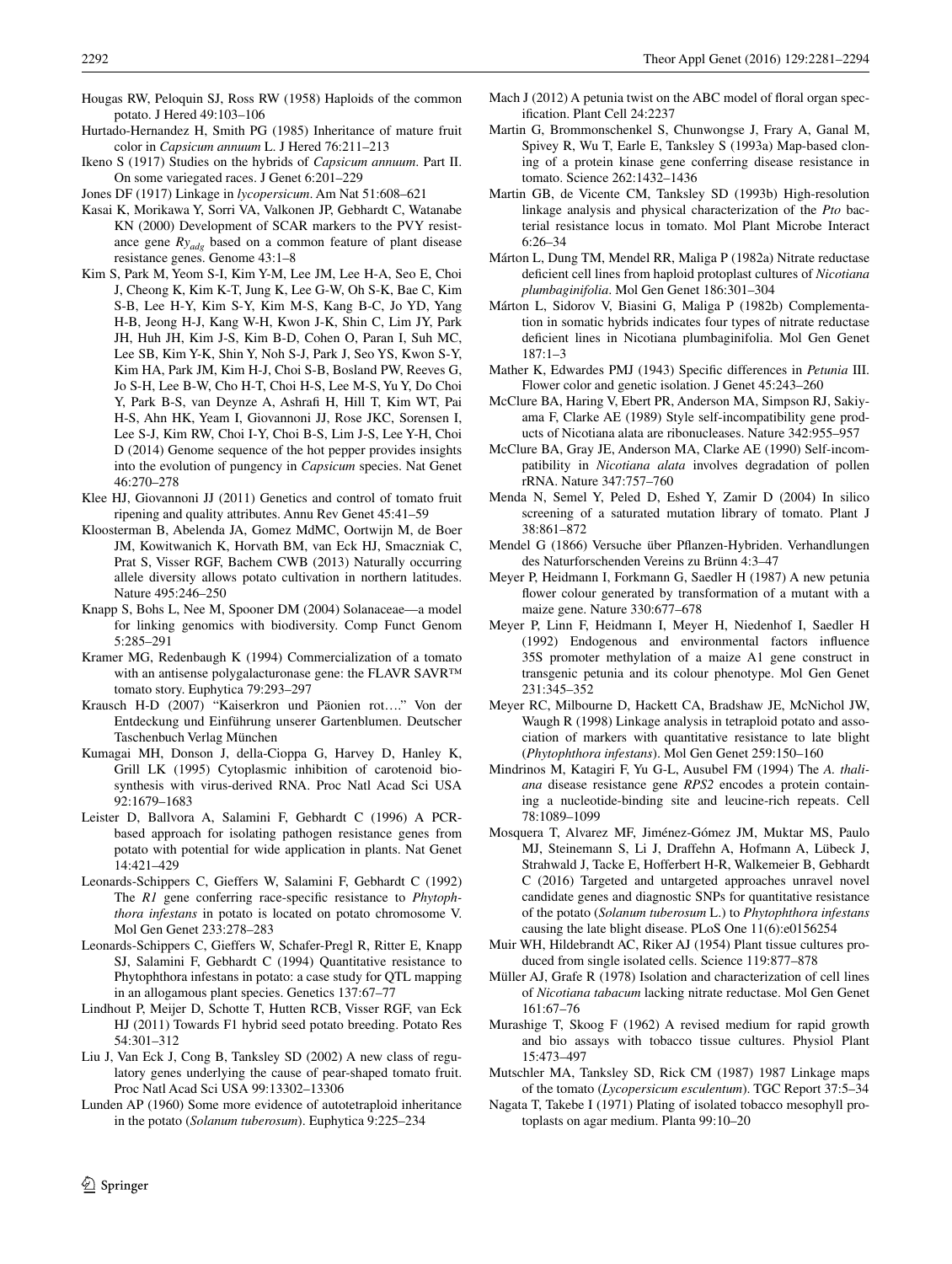<span id="page-11-25"></span>Hougas RW, Peloquin SJ, Ross RW (1958) Haploids of the common potato. J Hered 49:103–106

- <span id="page-11-36"></span>Hurtado-Hernandez H, Smith PG (1985) Inheritance of mature fruit color in *Capsicum annuum* L. J Hered 76:211–213
- <span id="page-11-35"></span>Ikeno S (1917) Studies on the hybrids of *Capsicum annuum*. Part II. On some variegated races. J Genet 6:201–229
- <span id="page-11-2"></span>Jones DF (1917) Linkage in *lycopersicum*. Am Nat 51:608–621
- <span id="page-11-31"></span>Kasai K, Morikawa Y, Sorri VA, Valkonen JP, Gebhardt C, Watanabe KN (2000) Development of SCAR markers to the PVY resistance gene *Ryadg* based on a common feature of plant disease resistance genes. Genome 43:1–8
- <span id="page-11-37"></span>Kim S, Park M, Yeom S-I, Kim Y-M, Lee JM, Lee H-A, Seo E, Choi J, Cheong K, Kim K-T, Jung K, Lee G-W, Oh S-K, Bae C, Kim S-B, Lee H-Y, Kim S-Y, Kim M-S, Kang B-C, Jo YD, Yang H-B, Jeong H-J, Kang W-H, Kwon J-K, Shin C, Lim JY, Park JH, Huh JH, Kim J-S, Kim B-D, Cohen O, Paran I, Suh MC, Lee SB, Kim Y-K, Shin Y, Noh S-J, Park J, Seo YS, Kwon S-Y, Kim HA, Park JM, Kim H-J, Choi S-B, Bosland PW, Reeves G, Jo S-H, Lee B-W, Cho H-T, Choi H-S, Lee M-S, Yu Y, Do Choi Y, Park B-S, van Deynze A, Ashrafi H, Hill T, Kim WT, Pai H-S, Ahn HK, Yeam I, Giovannoni JJ, Rose JKC, Sorensen I, Lee S-J, Kim RW, Choi I-Y, Choi B-S, Lim J-S, Lee Y-H, Choi D (2014) Genome sequence of the hot pepper provides insights into the evolution of pungency in *Capsicum* species. Nat Genet 46:270–278
- <span id="page-11-8"></span>Klee HJ, Giovannoni JJ (2011) Genetics and control of tomato fruit ripening and quality attributes. Annu Rev Genet 45:41–59
- <span id="page-11-34"></span>Kloosterman B, Abelenda JA, Gomez MdMC, Oortwijn M, de Boer JM, Kowitwanich K, Horvath BM, van Eck HJ, Smaczniak C, Prat S, Visser RGF, Bachem CWB (2013) Naturally occurring allele diversity allows potato cultivation in northern latitudes. Nature 495:246–250
- <span id="page-11-0"></span>Knapp S, Bohs L, Nee M, Spooner DM (2004) Solanaceae—a model for linking genomics with biodiversity. Comp Funct Genom 5:285–291
- <span id="page-11-9"></span>Kramer MG, Redenbaugh K (1994) Commercialization of a tomato with an antisense polygalacturonase gene: the FLAVR SAVR™ tomato story. Euphytica 79:293–297
- <span id="page-11-19"></span>Krausch H-D (2007) "Kaiserkron und Päonien rot…." Von der Entdeckung und Einführung unserer Gartenblumen. Deutscher Taschenbuch Verlag München
- <span id="page-11-18"></span>Kumagai MH, Donson J, della-Cioppa G, Harvey D, Hanley K, Grill LK (1995) Cytoplasmic inhibition of carotenoid biosynthesis with virus-derived RNA. Proc Natl Acad Sci USA 92:1679–1683
- <span id="page-11-30"></span>Leister D, Ballvora A, Salamini F, Gebhardt C (1996) A PCRbased approach for isolating pathogen resistance genes from potato with potential for wide application in plants. Nat Genet 14:421–429
- <span id="page-11-27"></span>Leonards-Schippers C, Gieffers W, Salamini F, Gebhardt C (1992) The *R1* gene conferring race-specific resistance to *Phytophthora infestans* in potato is located on potato chromosome V. Mol Gen Genet 233:278–283
- <span id="page-11-28"></span>Leonards-Schippers C, Gieffers W, Schafer-Pregl R, Ritter E, Knapp SJ, Salamini F, Gebhardt C (1994) Quantitative resistance to Phytophthora infestans in potato: a case study for QTL mapping in an allogamous plant species. Genetics 137:67–77
- <span id="page-11-26"></span>Lindhout P, Meijer D, Schotte T, Hutten RCB, Visser RGF, van Eck HJ (2011) Towards F1 hybrid seed potato breeding. Potato Res 54:301–312
- <span id="page-11-4"></span>Liu J, Van Eck J, Cong B, Tanksley SD (2002) A new class of regulatory genes underlying the cause of pear-shaped tomato fruit. Proc Natl Acad Sci USA 99:13302–13306
- <span id="page-11-24"></span>Lunden AP (1960) Some more evidence of autotetraploid inheritance in the potato (*Solanum tuberosum*). Euphytica 9:225–234
- <span id="page-11-23"></span>Mach J (2012) A petunia twist on the ABC model of floral organ specification. Plant Cell 24:2237
- <span id="page-11-6"></span>Martin G, Brommonschenkel S, Chunwongse J, Frary A, Ganal M, Spivey R, Wu T, Earle E, Tanksley S (1993a) Map-based cloning of a protein kinase gene conferring disease resistance in tomato. Science 262:1432–1436
- <span id="page-11-7"></span>Martin GB, de Vicente CM, Tanksley SD (1993b) High-resolution linkage analysis and physical characterization of the *Pto* bacterial resistance locus in tomato. Mol Plant Microbe Interact 6:26–34
- <span id="page-11-13"></span>Márton L, Dung TM, Mendel RR, Maliga P (1982a) Nitrate reductase deficient cell lines from haploid protoplast cultures of *Nicotiana plumbaginifolia*. Mol Gen Genet 186:301–304
- <span id="page-11-14"></span>Márton L, Sidorov V, Biasini G, Maliga P (1982b) Complementation in somatic hybrids indicates four types of nitrate reductase deficient lines in Nicotiana plumbaginifolia. Mol Gen Genet 187:1–3
- <span id="page-11-20"></span>Mather K, Edwardes PMJ (1943) Specific differences in *Petunia* III. Flower color and genetic isolation. J Genet 45:243–260
- <span id="page-11-16"></span>McClure BA, Haring V, Ebert PR, Anderson MA, Simpson RJ, Sakiyama F, Clarke AE (1989) Style self-incompatibility gene products of Nicotiana alata are ribonucleases. Nature 342:955–957
- <span id="page-11-17"></span>McClure BA, Gray JE, Anderson MA, Clarke AE (1990) Self-incompatibility in *Nicotiana alata* involves degradation of pollen rRNA. Nature 347:757–760
- <span id="page-11-5"></span>Menda N, Semel Y, Peled D, Eshed Y, Zamir D (2004) In silico screening of a saturated mutation library of tomato. Plant J 38:861–872
- <span id="page-11-1"></span>Mendel G (1866) Versuche über Pflanzen-Hybriden. Verhandlungen des Naturforschenden Vereins zu Brünn 4:3–47
- <span id="page-11-21"></span>Meyer P, Heidmann I, Forkmann G, Saedler H (1987) A new petunia flower colour generated by transformation of a mutant with a maize gene. Nature 330:677–678
- <span id="page-11-22"></span>Meyer P, Linn F, Heidmann I, Meyer H, Niedenhof I, Saedler H (1992) Endogenous and environmental factors influence 35S promoter methylation of a maize A1 gene construct in transgenic petunia and its colour phenotype. Mol Gen Genet 231:345–352
- <span id="page-11-32"></span>Meyer RC, Milbourne D, Hackett CA, Bradshaw JE, McNichol JW, Waugh R (1998) Linkage analysis in tetraploid potato and association of markers with quantitative resistance to late blight (*Phytophthora infestans*). Mol Gen Genet 259:150–160
- <span id="page-11-29"></span>Mindrinos M, Katagiri F, Yu G-L, Ausubel FM (1994) The *A. thaliana* disease resistance gene *RPS2* encodes a protein containing a nucleotide-binding site and leucine-rich repeats. Cell 78:1089–1099
- <span id="page-11-33"></span>Mosquera T, Alvarez MF, Jiménez-Gómez JM, Muktar MS, Paulo MJ, Steinemann S, Li J, Draffehn A, Hofmann A, Lübeck J, Strahwald J, Tacke E, Hofferbert H-R, Walkemeier B, Gebhardt C (2016) Targeted and untargeted approaches unravel novel candidate genes and diagnostic SNPs for quantitative resistance of the potato (*Solanum tuberosum* L.) to *Phytophthora infestans* causing the late blight disease. PLoS One 11(6):e0156254
- <span id="page-11-10"></span>Muir WH, Hildebrandt AC, Riker AJ (1954) Plant tissue cultures produced from single isolated cells. Science 119:877–878
- <span id="page-11-15"></span>Müller AJ, Grafe R (1978) Isolation and characterization of cell lines of *Nicotiana tabacum* lacking nitrate reductase. Mol Gen Genet 161:67–76
- <span id="page-11-12"></span>Murashige T, Skoog F (1962) A revised medium for rapid growth and bio assays with tobacco tissue cultures. Physiol Plant 15:473–497
- <span id="page-11-3"></span>Mutschler MA, Tanksley SD, Rick CM (1987) 1987 Linkage maps of the tomato (*Lycopersicum esculentum*). TGC Report 37:5–34
- <span id="page-11-11"></span>Nagata T, Takebe I (1971) Plating of isolated tobacco mesophyll protoplasts on agar medium. Planta 99:10–20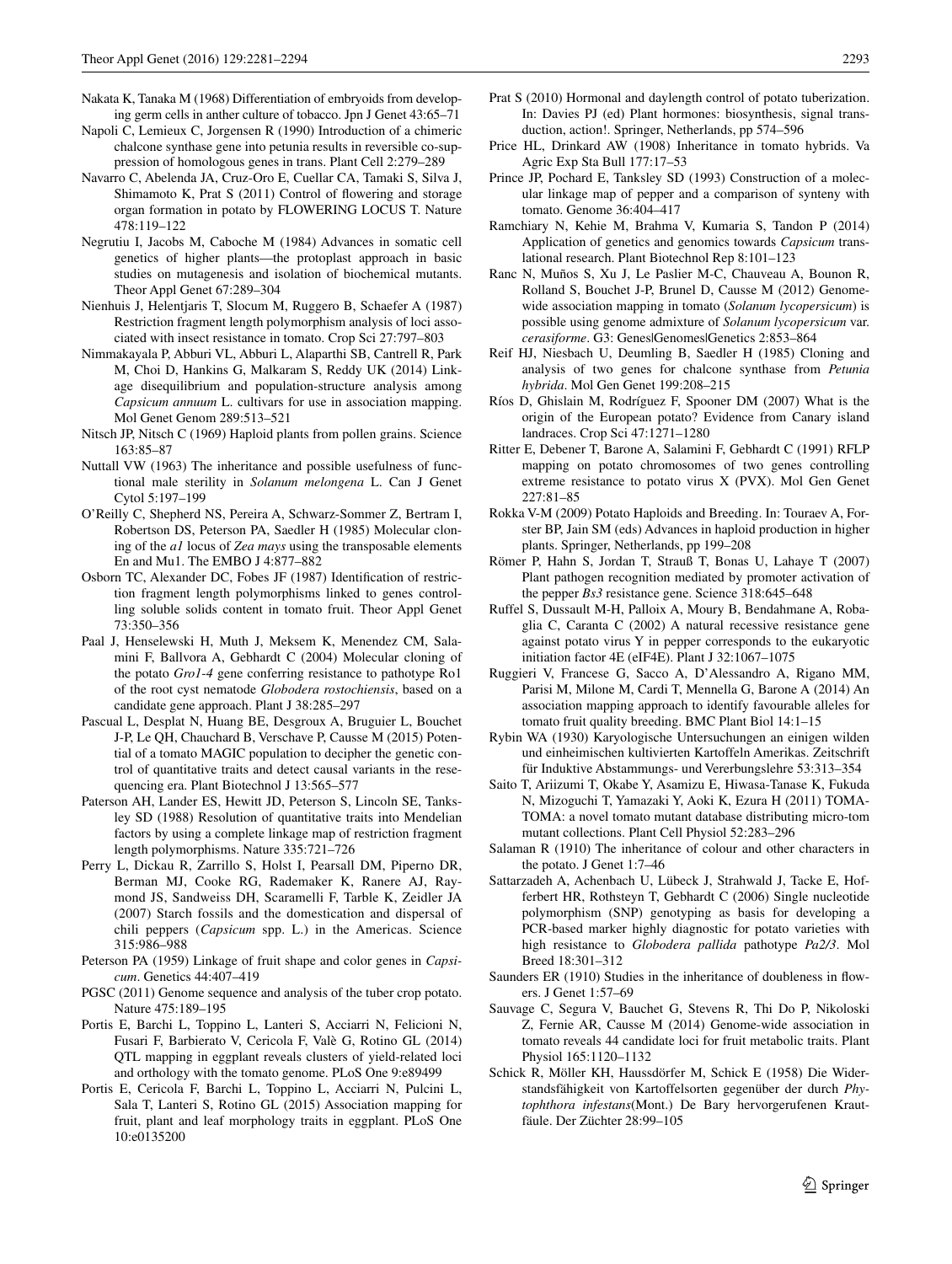- <span id="page-12-9"></span>Nakata K, Tanaka M (1968) Differentiation of embryoids from developing germ cells in anther culture of tobacco. Jpn J Genet 43:65–71
- <span id="page-12-15"></span>Napoli C, Lemieux C, Jorgensen R (1990) Introduction of a chimeric chalcone synthase gene into petunia results in reversible co-suppression of homologous genes in trans. Plant Cell 2:279–289
- <span id="page-12-26"></span>Navarro C, Abelenda JA, Cruz-Oro E, Cuellar CA, Tamaki S, Silva J, Shimamoto K, Prat S (2011) Control of flowering and storage organ formation in potato by FLOWERING LOCUS T. Nature 478:119–122
- <span id="page-12-11"></span>Negrutiu I, Jacobs M, Caboche M (1984) Advances in somatic cell genetics of higher plants—the protoplast approach in basic studies on mutagenesis and isolation of biochemical mutants. Theor Appl Genet 67:289–304
- <span id="page-12-2"></span>Nienhuis J, Helentjaris T, Slocum M, Ruggero B, Schaefer A (1987) Restriction fragment length polymorphism analysis of loci associated with insect resistance in tomato. Crop Sci 27:797–803
- <span id="page-12-31"></span>Nimmakayala P, Abburi VL, Abburi L, Alaparthi SB, Cantrell R, Park M, Choi D, Hankins G, Malkaram S, Reddy UK (2014) Linkage disequilibrium and population-structure analysis among *Capsicum annuum* L. cultivars for use in association mapping. Mol Genet Genom 289:513–521
- <span id="page-12-10"></span>Nitsch JP, Nitsch C (1969) Haploid plants from pollen grains. Science 163:85–87
- <span id="page-12-34"></span>Nuttall VW (1963) The inheritance and possible usefulness of functional male sterility in *Solanum melongena* L. Can J Genet Cytol 5:197–199
- <span id="page-12-14"></span>O'Reilly C, Shepherd NS, Pereira A, Schwarz-Sommer Z, Bertram I, Robertson DS, Peterson PA, Saedler H (1985) Molecular cloning of the *a1* locus of *Zea mays* using the transposable elements En and Mu1. The EMBO J 4:877–882
- <span id="page-12-3"></span>Osborn TC, Alexander DC, Fobes JF (1987) Identification of restriction fragment length polymorphisms linked to genes controlling soluble solids content in tomato fruit. Theor Appl Genet 73:350–356
- <span id="page-12-22"></span>Paal J, Henselewski H, Muth J, Meksem K, Menendez CM, Salamini F, Ballvora A, Gebhardt C (2004) Molecular cloning of the potato *Gro1*-*4* gene conferring resistance to pathotype Ro1 of the root cyst nematode *Globodera rostochiensis*, based on a candidate gene approach. Plant J 38:285–297
- <span id="page-12-8"></span>Pascual L, Desplat N, Huang BE, Desgroux A, Bruguier L, Bouchet J-P, Le QH, Chauchard B, Verschave P, Causse M (2015) Potential of a tomato MAGIC population to decipher the genetic control of quantitative traits and detect causal variants in the resequencing era. Plant Biotechnol J 13:565–577
- <span id="page-12-4"></span>Paterson AH, Lander ES, Hewitt JD, Peterson S, Lincoln SE, Tanksley SD (1988) Resolution of quantitative traits into Mendelian factors by using a complete linkage map of restriction fragment length polymorphisms. Nature 335:721–726
- <span id="page-12-27"></span>Perry L, Dickau R, Zarrillo S, Holst I, Pearsall DM, Piperno DR, Berman MJ, Cooke RG, Rademaker K, Ranere AJ, Raymond JS, Sandweiss DH, Scaramelli F, Tarble K, Zeidler JA (2007) Starch fossils and the domestication and dispersal of chili peppers (*Capsicum* spp. L.) in the Americas. Science 315:986–988
- <span id="page-12-28"></span>Peterson PA (1959) Linkage of fruit shape and color genes in *Capsicum*. Genetics 44:407–419
- <span id="page-12-20"></span>PGSC (2011) Genome sequence and analysis of the tuber crop potato. Nature 475:189–195
- <span id="page-12-35"></span>Portis E, Barchi L, Toppino L, Lanteri S, Acciarri N, Felicioni N, Fusari F, Barbierato V, Cericola F, Valè G, Rotino GL (2014) QTL mapping in eggplant reveals clusters of yield-related loci and orthology with the tomato genome. PLoS One 9:e89499
- <span id="page-12-36"></span>Portis E, Cericola F, Barchi L, Toppino L, Acciarri N, Pulcini L, Sala T, Lanteri S, Rotino GL (2015) Association mapping for fruit, plant and leaf morphology traits in eggplant. PLoS One 10:e0135200
- <span id="page-12-25"></span>Prat S (2010) Hormonal and daylength control of potato tuberization. In: Davies PJ (ed) Plant hormones: biosynthesis, signal transduction, action!. Springer, Netherlands, pp 574–596
- <span id="page-12-0"></span>Price HL, Drinkard AW (1908) Inheritance in tomato hybrids. Va Agric Exp Sta Bull 177:17–53
- <span id="page-12-29"></span>Prince JP, Pochard E, Tanksley SD (1993) Construction of a molecular linkage map of pepper and a comparison of synteny with tomato. Genome 36:404–417
- <span id="page-12-30"></span>Ramchiary N, Kehie M, Brahma V, Kumaria S, Tandon P (2014) Application of genetics and genomics towards *Capsicum* translational research. Plant Biotechnol Rep 8:101–123
- <span id="page-12-5"></span>Ranc N, Muños S, Xu J, Le Paslier M-C, Chauveau A, Bounon R, Rolland S, Bouchet J-P, Brunel D, Causse M (2012) Genomewide association mapping in tomato (*Solanum lycopersicum*) is possible using genome admixture of *Solanum lycopersicum* var. *cerasiforme*. G3: Genes|Genomes|Genetics 2:853–864
- <span id="page-12-13"></span>Reif HJ, Niesbach U, Deumling B, Saedler H (1985) Cloning and analysis of two genes for chalcone synthase from *Petunia hybrida*. Mol Gen Genet 199:208–215
- <span id="page-12-16"></span>Ríos D, Ghislain M, Rodríguez F, Spooner DM (2007) What is the origin of the European potato? Evidence from Canary island landraces. Crop Sci 47:1271–1280
- <span id="page-12-21"></span>Ritter E, Debener T, Barone A, Salamini F, Gebhardt C (1991) RFLP mapping on potato chromosomes of two genes controlling extreme resistance to potato virus X (PVX). Mol Gen Genet 227:81–85
- <span id="page-12-19"></span>Rokka V-M (2009) Potato Haploids and Breeding. In: Touraev A, Forster BP, Jain SM (eds) Advances in haploid production in higher plants. Springer, Netherlands, pp 199–208
- <span id="page-12-32"></span>Römer P, Hahn S, Jordan T, Strauß T, Bonas U, Lahaye T (2007) Plant pathogen recognition mediated by promoter activation of the pepper *Bs3* resistance gene. Science 318:645–648
- <span id="page-12-33"></span>Ruffel S, Dussault M-H, Palloix A, Moury B, Bendahmane A, Robaglia C, Caranta C (2002) A natural recessive resistance gene against potato virus Y in pepper corresponds to the eukaryotic initiation factor 4E (eIF4E). Plant J 32:1067–1075
- <span id="page-12-6"></span>Ruggieri V, Francese G, Sacco A, D'Alessandro A, Rigano MM, Parisi M, Milone M, Cardi T, Mennella G, Barone A (2014) An association mapping approach to identify favourable alleles for tomato fruit quality breeding. BMC Plant Biol 14:1–15
- <span id="page-12-18"></span>Rybin WA (1930) Karyologische Untersuchungen an einigen wilden und einheimischen kultivierten Kartoffeln Amerikas. Zeitschrift für Induktive Abstammungs- und Vererbungslehre 53:313–354
- <span id="page-12-1"></span>Saito T, Ariizumi T, Okabe Y, Asamizu E, Hiwasa-Tanase K, Fukuda N, Mizoguchi T, Yamazaki Y, Aoki K, Ezura H (2011) TOMA-TOMA: a novel tomato mutant database distributing micro-tom mutant collections. Plant Cell Physiol 52:283–296
- <span id="page-12-17"></span>Salaman R (1910) The inheritance of colour and other characters in the potato. J Genet 1:7–46
- <span id="page-12-23"></span>Sattarzadeh A, Achenbach U, Lübeck J, Strahwald J, Tacke E, Hofferbert HR, Rothsteyn T, Gebhardt C (2006) Single nucleotide polymorphism (SNP) genotyping as basis for developing a PCR-based marker highly diagnostic for potato varieties with high resistance to *Globodera pallida* pathotype *Pa2/3*. Mol Breed 18:301–312
- <span id="page-12-12"></span>Saunders ER (1910) Studies in the inheritance of doubleness in flowers. J Genet 1:57–69
- <span id="page-12-7"></span>Sauvage C, Segura V, Bauchet G, Stevens R, Thi Do P, Nikoloski Z, Fernie AR, Causse M (2014) Genome-wide association in tomato reveals 44 candidate loci for fruit metabolic traits. Plant Physiol 165:1120–1132
- <span id="page-12-24"></span>Schick R, Möller KH, Haussdörfer M, Schick E (1958) Die Widerstandsfähigkeit von Kartoffelsorten gegenüber der durch *Phytophthora infestans*(Mont.) De Bary hervorgerufenen Krautfäule. Der Züchter 28:99–105